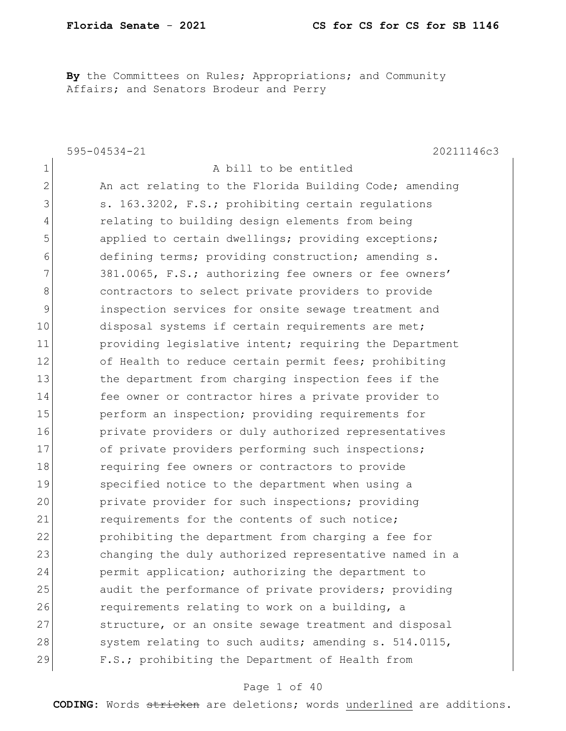**By** the Committees on Rules; Appropriations; and Community Affairs; and Senators Brodeur and Perry

|                | $595 - 04534 - 21$<br>20211146c3                       |
|----------------|--------------------------------------------------------|
| 1              | A bill to be entitled                                  |
| $\overline{2}$ | An act relating to the Florida Building Code; amending |
| 3              | s. 163.3202, F.S.; prohibiting certain regulations     |
| 4              | relating to building design elements from being        |
| 5              | applied to certain dwellings; providing exceptions;    |
| 6              | defining terms; providing construction; amending s.    |
| 7              | 381.0065, F.S.; authorizing fee owners or fee owners'  |
| 8              | contractors to select private providers to provide     |
| 9              | inspection services for onsite sewage treatment and    |
| 10             | disposal systems if certain requirements are met;      |
| 11             | providing legislative intent; requiring the Department |
| 12             | of Health to reduce certain permit fees; prohibiting   |
| 13             | the department from charging inspection fees if the    |
| 14             | fee owner or contractor hires a private provider to    |
| 15             | perform an inspection; providing requirements for      |
| 16             | private providers or duly authorized representatives   |
| 17             | of private providers performing such inspections;      |
| 18             | requiring fee owners or contractors to provide         |
| 19             | specified notice to the department when using a        |
| 20             | private provider for such inspections; providing       |
| 21             | requirements for the contents of such notice;          |
| 22             | prohibiting the department from charging a fee for     |
| 23             | changing the duly authorized representative named in a |
| 24             | permit application; authorizing the department to      |
| 25             | audit the performance of private providers; providing  |
| 26             | requirements relating to work on a building, a         |
| 27             | structure, or an onsite sewage treatment and disposal  |
| 28             | system relating to such audits; amending s. 514.0115,  |
| 29             | F.S.; prohibiting the Department of Health from        |

## Page 1 of 40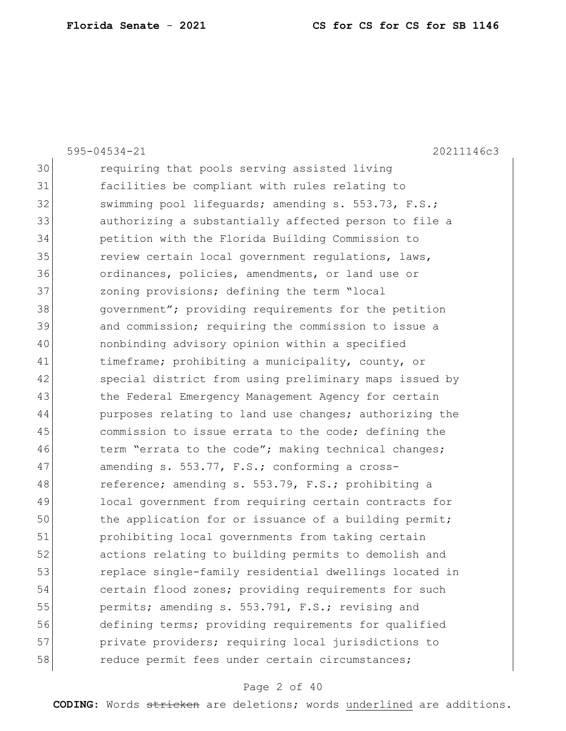|    | 20211146c3<br>$595 - 04534 - 21$                       |
|----|--------------------------------------------------------|
| 30 | requiring that pools serving assisted living           |
| 31 | facilities be compliant with rules relating to         |
| 32 | swimming pool lifequards; amending s. 553.73, F.S.;    |
| 33 | authorizing a substantially affected person to file a  |
| 34 | petition with the Florida Building Commission to       |
| 35 | review certain local government regulations, laws,     |
| 36 | ordinances, policies, amendments, or land use or       |
| 37 | zoning provisions; defining the term "local            |
| 38 | government"; providing requirements for the petition   |
| 39 | and commission; requiring the commission to issue a    |
| 40 | nonbinding advisory opinion within a specified         |
| 41 | timeframe; prohibiting a municipality, county, or      |
| 42 | special district from using preliminary maps issued by |
| 43 | the Federal Emergency Management Agency for certain    |
| 44 | purposes relating to land use changes; authorizing the |
| 45 | commission to issue errata to the code; defining the   |
| 46 | term "errata to the code"; making technical changes;   |
| 47 | amending s. 553.77, F.S.; conforming a cross-          |
| 48 | reference; amending s. 553.79, F.S.; prohibiting a     |
| 49 | local government from requiring certain contracts for  |
| 50 | the application for or issuance of a building permit;  |
| 51 | prohibiting local governments from taking certain      |
| 52 | actions relating to building permits to demolish and   |
| 53 | replace single-family residential dwellings located in |
| 54 | certain flood zones; providing requirements for such   |
| 55 | permits; amending s. 553.791, F.S.; revising and       |
| 56 | defining terms; providing requirements for qualified   |
| 57 | private providers; requiring local jurisdictions to    |
| 58 | reduce permit fees under certain circumstances;        |
|    |                                                        |

# Page 2 of 40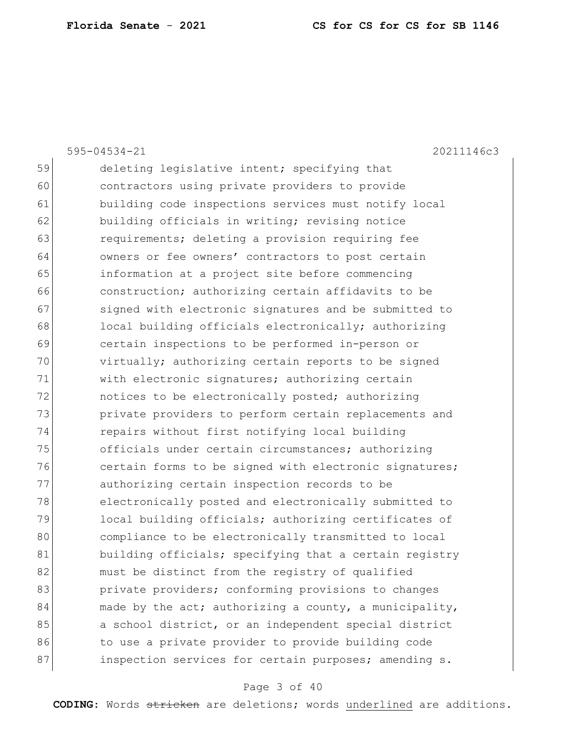|    | 20211146c3<br>$595 - 04534 - 21$                       |
|----|--------------------------------------------------------|
| 59 | deleting legislative intent; specifying that           |
| 60 | contractors using private providers to provide         |
| 61 | building code inspections services must notify local   |
| 62 | building officials in writing; revising notice         |
| 63 | requirements; deleting a provision requiring fee       |
| 64 | owners or fee owners' contractors to post certain      |
| 65 | information at a project site before commencing        |
| 66 | construction; authorizing certain affidavits to be     |
| 67 | signed with electronic signatures and be submitted to  |
| 68 | local building officials electronically; authorizing   |
| 69 | certain inspections to be performed in-person or       |
| 70 | virtually; authorizing certain reports to be signed    |
| 71 | with electronic signatures; authorizing certain        |
| 72 | notices to be electronically posted; authorizing       |
| 73 | private providers to perform certain replacements and  |
| 74 | repairs without first notifying local building         |
| 75 | officials under certain circumstances; authorizing     |
| 76 | certain forms to be signed with electronic signatures; |
| 77 | authorizing certain inspection records to be           |
| 78 | electronically posted and electronically submitted to  |
| 79 | local building officials; authorizing certificates of  |
| 80 | compliance to be electronically transmitted to local   |
| 81 | building officials; specifying that a certain registry |
| 82 | must be distinct from the registry of qualified        |
| 83 | private providers; conforming provisions to changes    |
| 84 | made by the act; authorizing a county, a municipality, |
| 85 | a school district, or an independent special district  |
| 86 | to use a private provider to provide building code     |
| 87 | inspection services for certain purposes; amending s.  |

# Page 3 of 40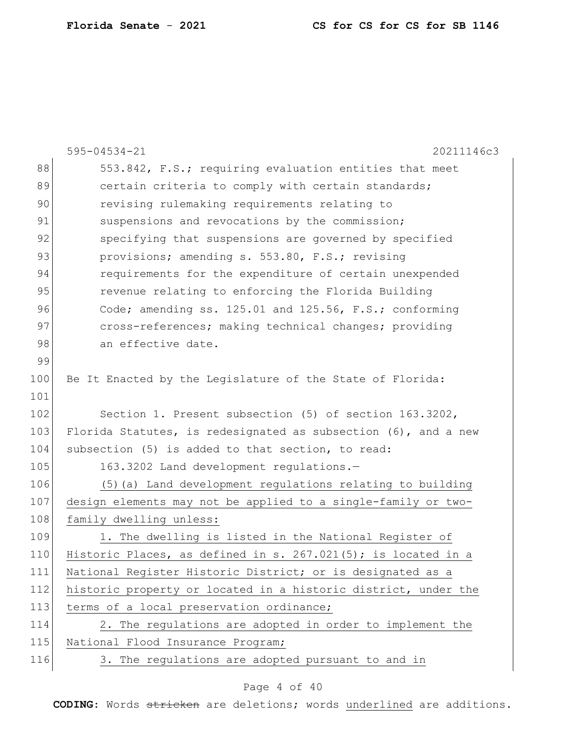|     | $595 - 04534 - 21$<br>20211146c3                               |
|-----|----------------------------------------------------------------|
| 88  | 553.842, F.S.; requiring evaluation entities that meet         |
| 89  | certain criteria to comply with certain standards;             |
| 90  | revising rulemaking requirements relating to                   |
| 91  | suspensions and revocations by the commission;                 |
| 92  | specifying that suspensions are governed by specified          |
| 93  | provisions; amending s. 553.80, F.S.; revising                 |
| 94  | requirements for the expenditure of certain unexpended         |
| 95  | revenue relating to enforcing the Florida Building             |
| 96  | Code; amending ss. 125.01 and 125.56, F.S.; conforming         |
| 97  | cross-references; making technical changes; providing          |
| 98  | an effective date.                                             |
| 99  |                                                                |
| 100 | Be It Enacted by the Legislature of the State of Florida:      |
| 101 |                                                                |
| 102 | Section 1. Present subsection (5) of section 163.3202,         |
| 103 | Florida Statutes, is redesignated as subsection (6), and a new |
| 104 | subsection (5) is added to that section, to read:              |
| 105 | 163.3202 Land development regulations.-                        |
| 106 | (5) (a) Land development regulations relating to building      |
| 107 | design elements may not be applied to a single-family or two-  |
| 108 | family dwelling unless:                                        |
| 109 | 1. The dwelling is listed in the National Register of          |
| 110 | Historic Places, as defined in s. 267.021(5); is located in a  |
| 111 | National Register Historic District; or is designated as a     |
| 112 | historic property or located in a historic district, under the |
| 113 | terms of a local preservation ordinance;                       |
| 114 | 2. The regulations are adopted in order to implement the       |
| 115 | National Flood Insurance Program;                              |
| 116 | 3. The regulations are adopted pursuant to and in              |
|     |                                                                |

# Page 4 of 40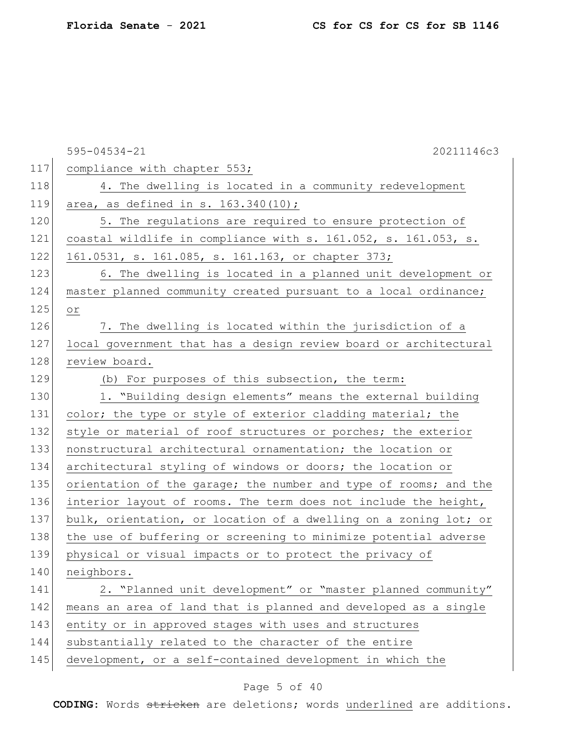|     | 20211146c3<br>$595 - 04534 - 21$                                 |
|-----|------------------------------------------------------------------|
| 117 | compliance with chapter 553;                                     |
| 118 | 4. The dwelling is located in a community redevelopment          |
| 119 | area, as defined in s. $163.340(10)$ ;                           |
| 120 | 5. The regulations are required to ensure protection of          |
| 121 | coastal wildlife in compliance with s. 161.052, s. 161.053, s.   |
| 122 | 161.0531, s. 161.085, s. 161.163, or chapter 373;                |
| 123 | 6. The dwelling is located in a planned unit development or      |
| 124 | master planned community created pursuant to a local ordinance;  |
| 125 | Оr                                                               |
| 126 | 7. The dwelling is located within the jurisdiction of a          |
| 127 | local government that has a design review board or architectural |
| 128 | review board.                                                    |
| 129 | (b) For purposes of this subsection, the term:                   |
| 130 | 1. "Building design elements" means the external building        |
| 131 | color; the type or style of exterior cladding material; the      |
| 132 | style or material of roof structures or porches; the exterior    |
| 133 | nonstructural architectural ornamentation; the location or       |
| 134 | architectural styling of windows or doors; the location or       |
| 135 | orientation of the garage; the number and type of rooms; and the |
| 136 | interior layout of rooms. The term does not include the height,  |
| 137 | bulk, orientation, or location of a dwelling on a zoning lot; or |
| 138 | the use of buffering or screening to minimize potential adverse  |
| 139 | physical or visual impacts or to protect the privacy of          |
| 140 | neighbors.                                                       |
| 141 | 2. "Planned unit development" or "master planned community"      |
| 142 | means an area of land that is planned and developed as a single  |
| 143 | entity or in approved stages with uses and structures            |
| 144 | substantially related to the character of the entire             |
| 145 | development, or a self-contained development in which the        |

# Page 5 of 40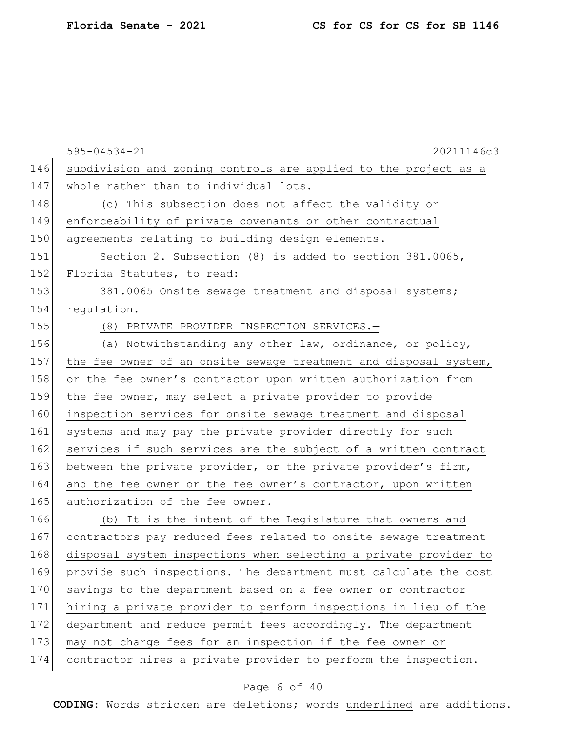|     | $595 - 04534 - 21$<br>20211146c3                                 |
|-----|------------------------------------------------------------------|
| 146 | subdivision and zoning controls are applied to the project as a  |
| 147 | whole rather than to individual lots.                            |
| 148 | (c) This subsection does not affect the validity or              |
| 149 | enforceability of private covenants or other contractual         |
| 150 | agreements relating to building design elements.                 |
| 151 | Section 2. Subsection (8) is added to section 381.0065,          |
| 152 | Florida Statutes, to read:                                       |
| 153 | 381.0065 Onsite sewage treatment and disposal systems;           |
| 154 | regulation.-                                                     |
| 155 | (8) PRIVATE PROVIDER INSPECTION SERVICES.-                       |
| 156 | (a) Notwithstanding any other law, ordinance, or policy,         |
| 157 | the fee owner of an onsite sewage treatment and disposal system, |
| 158 | or the fee owner's contractor upon written authorization from    |
| 159 | the fee owner, may select a private provider to provide          |
| 160 | inspection services for onsite sewage treatment and disposal     |
| 161 | systems and may pay the private provider directly for such       |
| 162 | services if such services are the subject of a written contract  |
| 163 | between the private provider, or the private provider's firm,    |
| 164 | and the fee owner or the fee owner's contractor, upon written    |
| 165 | authorization of the fee owner.                                  |
| 166 | (b) It is the intent of the Legislature that owners and          |
| 167 | contractors pay reduced fees related to onsite sewage treatment  |
| 168 | disposal system inspections when selecting a private provider to |
| 169 | provide such inspections. The department must calculate the cost |
| 170 | savings to the department based on a fee owner or contractor     |
| 171 | hiring a private provider to perform inspections in lieu of the  |
| 172 | department and reduce permit fees accordingly. The department    |
| 173 | may not charge fees for an inspection if the fee owner or        |
| 174 | contractor hires a private provider to perform the inspection.   |

# Page 6 of 40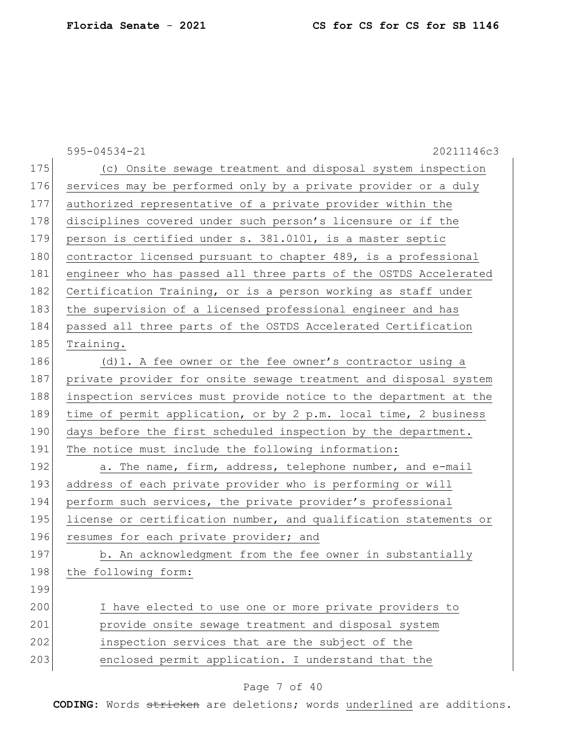|     | $595 - 04534 - 21$<br>20211146c3                                 |
|-----|------------------------------------------------------------------|
| 175 | (c) Onsite sewage treatment and disposal system inspection       |
| 176 | services may be performed only by a private provider or a duly   |
| 177 | authorized representative of a private provider within the       |
| 178 | disciplines covered under such person's licensure or if the      |
| 179 | person is certified under s. 381.0101, is a master septic        |
| 180 | contractor licensed pursuant to chapter 489, is a professional   |
| 181 | engineer who has passed all three parts of the OSTDS Accelerated |
| 182 | Certification Training, or is a person working as staff under    |
| 183 | the supervision of a licensed professional engineer and has      |
| 184 | passed all three parts of the OSTDS Accelerated Certification    |
| 185 | Training.                                                        |
| 186 | $(d) 1.$ A fee owner or the fee owner's contractor using a       |
| 187 | private provider for onsite sewage treatment and disposal system |
| 188 | inspection services must provide notice to the department at the |
| 189 | time of permit application, or by 2 p.m. local time, 2 business  |
| 190 | days before the first scheduled inspection by the department.    |
| 191 | The notice must include the following information:               |
| 192 | a. The name, firm, address, telephone number, and e-mail         |
| 193 | address of each private provider who is performing or will       |
| 194 | perform such services, the private provider's professional       |
| 195 | license or certification number, and qualification statements or |
| 196 | resumes for each private provider; and                           |
| 197 | b. An acknowledgment from the fee owner in substantially         |
| 198 | the following form:                                              |
| 199 |                                                                  |
| 200 | I have elected to use one or more private providers to           |
| 201 | provide onsite sewage treatment and disposal system              |
| 202 | inspection services that are the subject of the                  |
| 203 | enclosed permit application. I understand that the               |
|     |                                                                  |
|     | Page 7 of 40                                                     |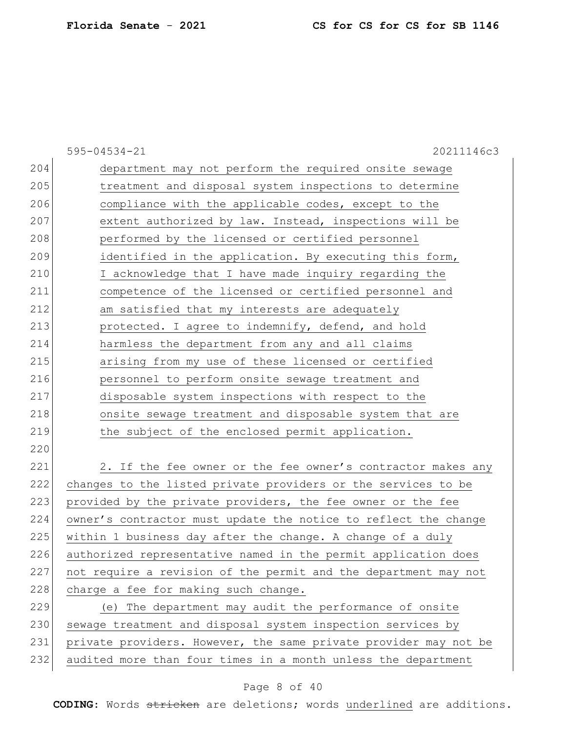|     | $595 - 04534 - 21$<br>20211146c3                                 |
|-----|------------------------------------------------------------------|
| 204 | department may not perform the required onsite sewage            |
| 205 | treatment and disposal system inspections to determine           |
| 206 | compliance with the applicable codes, except to the              |
| 207 | extent authorized by law. Instead, inspections will be           |
| 208 | performed by the licensed or certified personnel                 |
| 209 | identified in the application. By executing this form,           |
| 210 | I acknowledge that I have made inquiry regarding the             |
| 211 | competence of the licensed or certified personnel and            |
| 212 | am satisfied that my interests are adequately                    |
| 213 | protected. I agree to indemnify, defend, and hold                |
| 214 | harmless the department from any and all claims                  |
| 215 | arising from my use of these licensed or certified               |
| 216 | personnel to perform onsite sewage treatment and                 |
| 217 | disposable system inspections with respect to the                |
| 218 | onsite sewage treatment and disposable system that are           |
| 219 | the subject of the enclosed permit application.                  |
| 220 |                                                                  |
| 221 | 2. If the fee owner or the fee owner's contractor makes any      |
| 222 | changes to the listed private providers or the services to be    |
| 223 | provided by the private providers, the fee owner or the fee      |
| 224 | owner's contractor must update the notice to reflect the change  |
| 225 | within 1 business day after the change. A change of a duly       |
| 226 | authorized representative named in the permit application does   |
| 227 | not require a revision of the permit and the department may not  |
| 228 | charge a fee for making such change.                             |
| 229 | (e) The department may audit the performance of onsite           |
| 230 | sewage treatment and disposal system inspection services by      |
| 231 | private providers. However, the same private provider may not be |
| 232 | audited more than four times in a month unless the department    |

# Page 8 of 40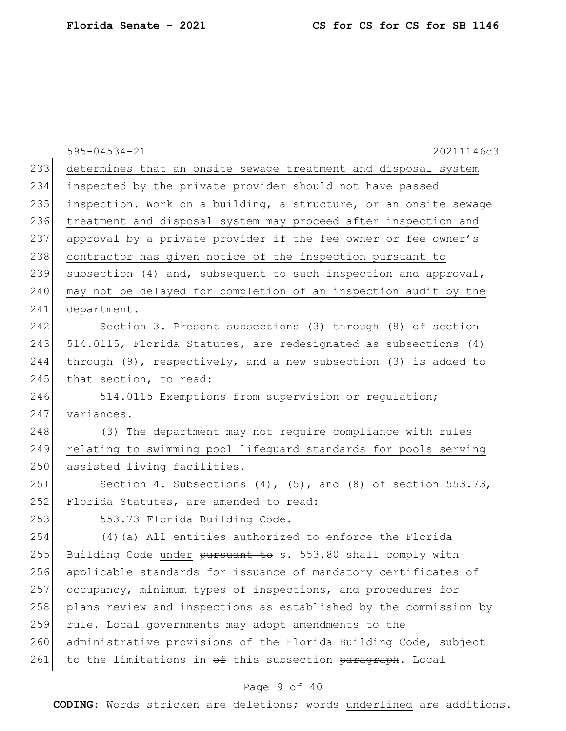|     | $595 - 04534 - 21$<br>20211146c3                                     |
|-----|----------------------------------------------------------------------|
| 233 | determines that an onsite sewage treatment and disposal system       |
| 234 | inspected by the private provider should not have passed             |
| 235 | inspection. Work on a building, a structure, or an onsite sewage     |
| 236 | treatment and disposal system may proceed after inspection and       |
| 237 | approval by a private provider if the fee owner or fee owner's       |
| 238 | contractor has given notice of the inspection pursuant to            |
| 239 | subsection (4) and, subsequent to such inspection and approval,      |
| 240 | may not be delayed for completion of an inspection audit by the      |
| 241 | department.                                                          |
| 242 | Section 3. Present subsections (3) through (8) of section            |
| 243 | 514.0115, Florida Statutes, are redesignated as subsections (4)      |
| 244 | through $(9)$ , respectively, and a new subsection $(3)$ is added to |
| 245 | that section, to read:                                               |
| 246 | 514.0115 Exemptions from supervision or regulation;                  |
| 247 | variances.-                                                          |
| 248 | (3) The department may not require compliance with rules             |
| 249 | relating to swimming pool lifeguard standards for pools serving      |
| 250 | assisted living facilities.                                          |
| 251 | Section 4. Subsections $(4)$ , $(5)$ , and $(8)$ of section 553.73,  |
| 252 | Florida Statutes, are amended to read:                               |
| 253 | 553.73 Florida Building Code.-                                       |
| 254 | $(4)$ (a) All entities authorized to enforce the Florida             |
| 255 | Building Code under pursuant to s. 553.80 shall comply with          |
| 256 | applicable standards for issuance of mandatory certificates of       |
| 257 | occupancy, minimum types of inspections, and procedures for          |
| 258 | plans review and inspections as established by the commission by     |
| 259 | rule. Local governments may adopt amendments to the                  |
| 260 | administrative provisions of the Florida Building Code, subject      |
| 261 | to the limitations in of this subsection paragraph. Local            |

# Page 9 of 40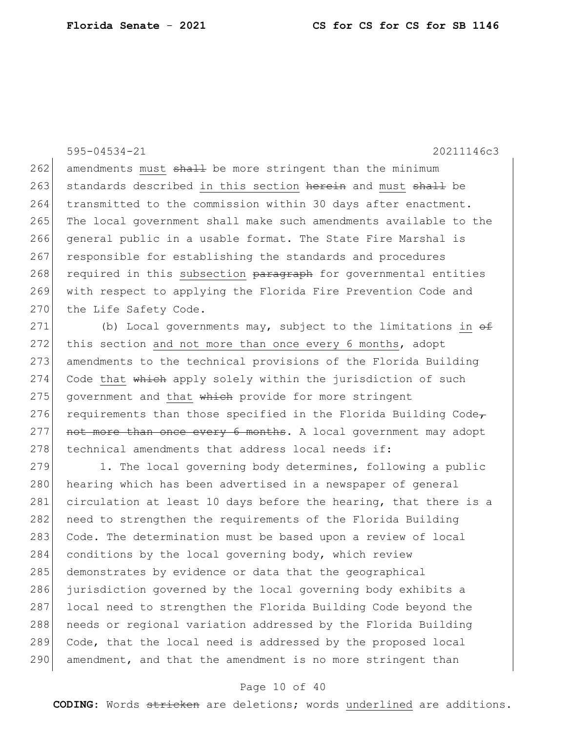595-04534-21 20211146c3

262 amendments must shall be more stringent than the minimum 263 standards described in this section herein and must shall be 264 transmitted to the commission within 30 days after enactment. 265 The local government shall make such amendments available to the 266 general public in a usable format. The State Fire Marshal is 267 responsible for establishing the standards and procedures 268 required in this subsection paragraph for governmental entities 269 with respect to applying the Florida Fire Prevention Code and 270 the Life Safety Code.

271 (b) Local governments may, subject to the limitations in  $\theta$ 272 this section and not more than once every 6 months, adopt 273 amendments to the technical provisions of the Florida Building 274 Code that which apply solely within the jurisdiction of such 275 government and that which provide for more stringent 276 requirements than those specified in the Florida Building Code- $277$  not more than once every 6 months. A local government may adopt 278 technical amendments that address local needs if:

 $279$  1. The local governing body determines, following a public 280 hearing which has been advertised in a newspaper of general 281 circulation at least 10 days before the hearing, that there is a 282 need to strengthen the requirements of the Florida Building 283 Code. The determination must be based upon a review of local 284 conditions by the local governing body, which review 285 demonstrates by evidence or data that the geographical 286 jurisdiction governed by the local governing body exhibits a 287 local need to strengthen the Florida Building Code beyond the 288 needs or regional variation addressed by the Florida Building 289 Code, that the local need is addressed by the proposed local 290 amendment, and that the amendment is no more stringent than

## Page 10 of 40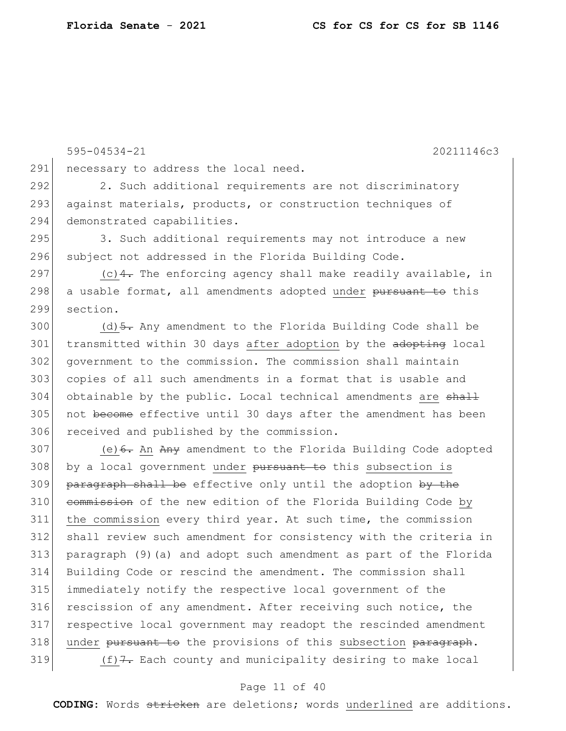595-04534-21 20211146c3 291 necessary to address the local need. 292 2. Such additional requirements are not discriminatory 293 against materials, products, or construction techniques of 294 demonstrated capabilities. 295 3. Such additional requirements may not introduce a new 296 subject not addressed in the Florida Building Code. 297  $(c)$ 4. The enforcing agency shall make readily available, in 298 a usable format, all amendments adopted under pursuant to this 299 section.  $300$  (d)  $\frac{1}{2}$ . Any amendment to the Florida Building Code shall be 301 transmitted within 30 days after adoption by the adopting local 302 government to the commission. The commission shall maintain 303 copies of all such amendments in a format that is usable and  $304$  obtainable by the public. Local technical amendments are  $\frac{11}{2}$ 305 not become effective until 30 days after the amendment has been 306 received and published by the commission. 307 (e)  $\epsilon$ . An Any amendment to the Florida Building Code adopted 308 by a local government under pursuant to this subsection is 309 paragraph shall be effective only until the adoption by the 310 commission of the new edition of the Florida Building Code by 311 the commission every third year. At such time, the commission 312 shall review such amendment for consistency with the criteria in 313 paragraph (9)(a) and adopt such amendment as part of the Florida 314 Building Code or rescind the amendment. The commission shall 315 immediately notify the respective local government of the 316 rescission of any amendment. After receiving such notice, the 317 respective local government may readopt the rescinded amendment 318 under pursuant to the provisions of this subsection paragraph. 319  $(f)$   $\frac{7}{1}$  Each county and municipality desiring to make local

## Page 11 of 40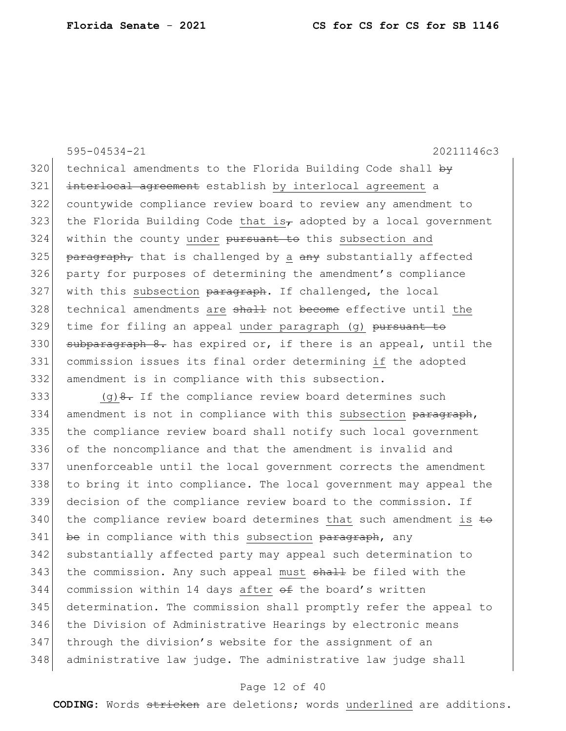595-04534-21 20211146c3

320 technical amendments to the Florida Building Code shall  $\frac{1}{2}$ 321 interlocal agreement establish by interlocal agreement a 322 countywide compliance review board to review any amendment to 323 the Florida Building Code that is<sub>7</sub> adopted by a local government 324 within the county under pursuant to this subsection and  $325$  paragraph, that is challenged by a any substantially affected 326 party for purposes of determining the amendment's compliance 327 with this subsection paragraph. If challenged, the local 328 technical amendments are shall not become effective until the 329 time for filing an appeal under paragraph (g) pursuant to 330 subparagraph 8. has expired or, if there is an appeal, until the 331 commission issues its final order determining if the adopted 332 amendment is in compliance with this subsection.

333 (g)  $\theta$ . If the compliance review board determines such 334 amendment is not in compliance with this subsection paragraph, 335 the compliance review board shall notify such local government 336 of the noncompliance and that the amendment is invalid and 337 unenforceable until the local government corrects the amendment 338 to bring it into compliance. The local government may appeal the 339 decision of the compliance review board to the commission. If  $340$  the compliance review board determines that such amendment is  $\pm\Theta$ 341 be in compliance with this subsection paragraph, any 342 substantially affected party may appeal such determination to 343 the commission. Any such appeal must shall be filed with the 344 commission within 14 days after of the board's written 345 determination. The commission shall promptly refer the appeal to 346 the Division of Administrative Hearings by electronic means 347 through the division's website for the assignment of an 348 administrative law judge. The administrative law judge shall

#### Page 12 of 40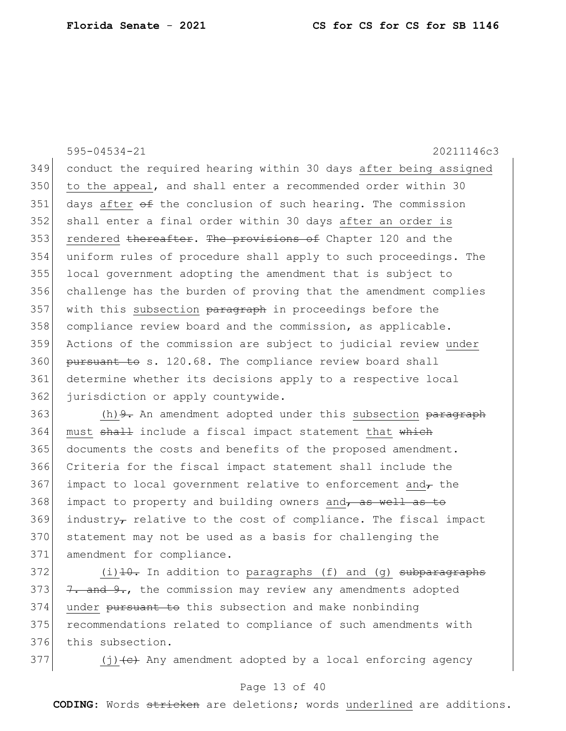595-04534-21 20211146c3 conduct the required hearing within 30 days after being assigned to the appeal, and shall enter a recommended order within 30 days after  $\theta$  the conclusion of such hearing. The commission shall enter a final order within 30 days after an order is 353 rendered thereafter. The provisions of Chapter 120 and the uniform rules of procedure shall apply to such proceedings. The local government adopting the amendment that is subject to challenge has the burden of proving that the amendment complies 357 with this subsection paragraph in proceedings before the compliance review board and the commission, as applicable. Actions of the commission are subject to judicial review under 360 pursuant to s. 120.68. The compliance review board shall determine whether its decisions apply to a respective local 362 jurisdiction or apply countywide.

363  $(h)$ 9. An amendment adopted under this subsection paragraph 364 must shall include a fiscal impact statement that which 365 documents the costs and benefits of the proposed amendment. 366 Criteria for the fiscal impact statement shall include the 367 impact to local government relative to enforcement and $_{\tau}$  the 368 impact to property and building owners and, as well as to 369 industry<sub> $\tau$ </sub> relative to the cost of compliance. The fiscal impact 370 statement may not be used as a basis for challenging the 371 amendment for compliance.

 $(i)$   $\overline{10}$ . In addition to paragraphs (f) and (g) subparagraphs  $7.$  and 9., the commission may review any amendments adopted 374 under pursuant to this subsection and make nonbinding recommendations related to compliance of such amendments with this subsection.

 $377$  (j)<del>(c)</del> Any amendment adopted by a local enforcing agency

## Page 13 of 40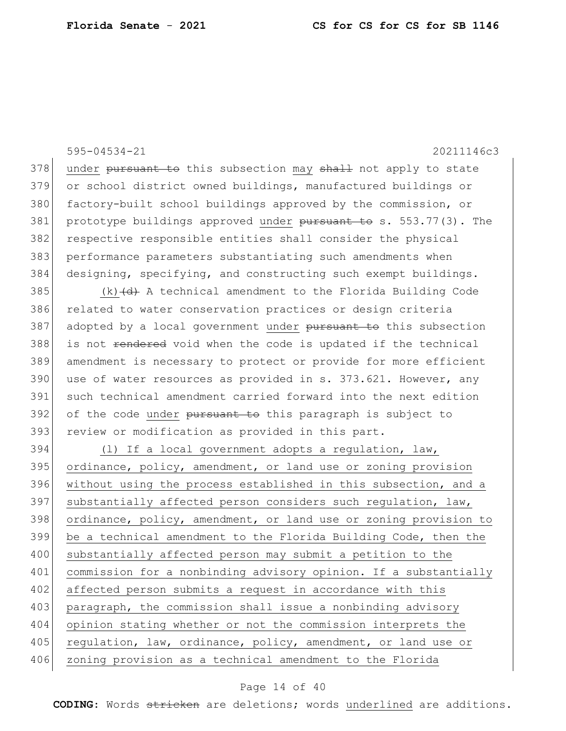|     | 20211146c3<br>$595 - 04534 - 21$                                          |
|-----|---------------------------------------------------------------------------|
| 378 | under pursuant to this subsection may shall not apply to state            |
| 379 | or school district owned buildings, manufactured buildings or             |
| 380 | factory-built school buildings approved by the commission, or             |
| 381 | prototype buildings approved under pursuant to s. 553.77(3). The          |
| 382 | respective responsible entities shall consider the physical               |
| 383 | performance parameters substantiating such amendments when                |
| 384 | designing, specifying, and constructing such exempt buildings.            |
| 385 | $(k)$ $(d)$ A technical amendment to the Florida Building Code            |
| 386 | related to water conservation practices or design criteria                |
| 387 | adopted by a local government under pursuant to this subsection           |
| 388 | is not <del>rendered</del> void when the code is updated if the technical |
| 389 | amendment is necessary to protect or provide for more efficient           |
| 390 | use of water resources as provided in s. 373.621. However, any            |
| 391 | such technical amendment carried forward into the next edition            |
| 392 | of the code under pursuant to this paragraph is subject to                |
| 393 | review or modification as provided in this part.                          |
| 394 | (1) If a local government adopts a regulation, law,                       |
| 395 | ordinance, policy, amendment, or land use or zoning provision             |
| 396 | without using the process established in this subsection, and a           |
| 397 | substantially affected person considers such regulation, law,             |
| 398 | ordinance, policy, amendment, or land use or zoning provision to          |
| 399 | be a technical amendment to the Florida Building Code, then the           |
| 400 | substantially affected person may submit a petition to the                |
| 401 | commission for a nonbinding advisory opinion. If a substantially          |
| 402 | affected person submits a request in accordance with this                 |
| 403 | paragraph, the commission shall issue a nonbinding advisory               |
| 404 | opinion stating whether or not the commission interprets the              |
| 405 | regulation, law, ordinance, policy, amendment, or land use or             |
| 406 | zoning provision as a technical amendment to the Florida                  |
|     |                                                                           |

# Page 14 of 40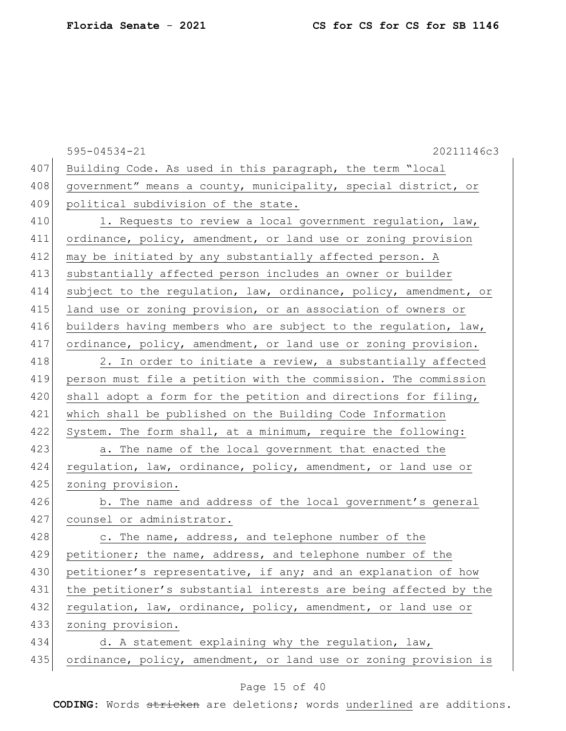|     | $595 - 04534 - 21$<br>20211146c3                                 |
|-----|------------------------------------------------------------------|
| 407 | Building Code. As used in this paragraph, the term "local        |
| 408 | government" means a county, municipality, special district, or   |
| 409 | political subdivision of the state.                              |
| 410 | 1. Requests to review a local government regulation, law,        |
| 411 | ordinance, policy, amendment, or land use or zoning provision    |
| 412 | may be initiated by any substantially affected person. A         |
| 413 | substantially affected person includes an owner or builder       |
| 414 | subject to the regulation, law, ordinance, policy, amendment, or |
| 415 | land use or zoning provision, or an association of owners or     |
| 416 | builders having members who are subject to the regulation, law,  |
| 417 | ordinance, policy, amendment, or land use or zoning provision.   |
| 418 | 2. In order to initiate a review, a substantially affected       |
| 419 | person must file a petition with the commission. The commission  |
| 420 | shall adopt a form for the petition and directions for filing,   |
| 421 | which shall be published on the Building Code Information        |
| 422 | System. The form shall, at a minimum, require the following:     |
| 423 | a. The name of the local government that enacted the             |
| 424 | regulation, law, ordinance, policy, amendment, or land use or    |
| 425 | zoning provision.                                                |
| 426 | b. The name and address of the local government's general        |
| 427 | counsel or administrator.                                        |
| 428 | c. The name, address, and telephone number of the                |
| 429 | petitioner; the name, address, and telephone number of the       |
| 430 | petitioner's representative, if any; and an explanation of how   |
| 431 | the petitioner's substantial interests are being affected by the |
| 432 | regulation, law, ordinance, policy, amendment, or land use or    |
| 433 | zoning provision.                                                |
| 434 | d. A statement explaining why the regulation, law,               |
| 435 | ordinance, policy, amendment, or land use or zoning provision is |

# Page 15 of 40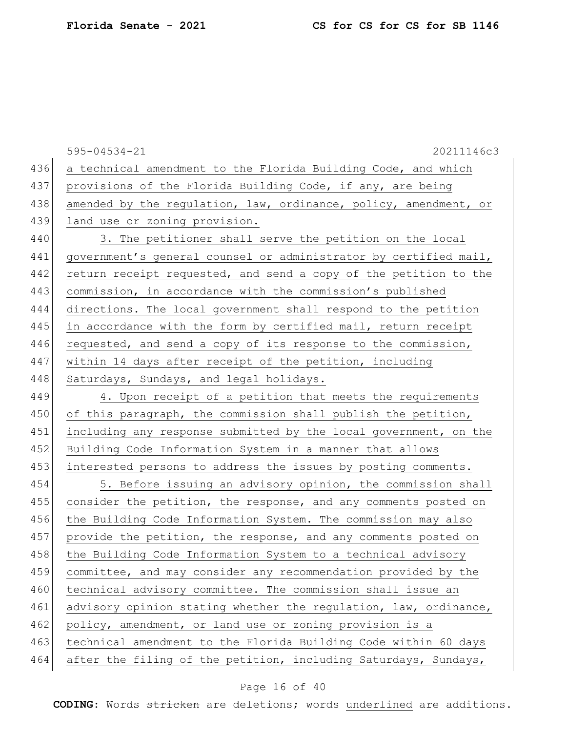595-04534-21 20211146c3 436 a technical amendment to the Florida Building Code, and which 437 provisions of the Florida Building Code, if any, are being 438 amended by the regulation, law, ordinance, policy, amendment, or 439 land use or zoning provision. 440 3. The petitioner shall serve the petition on the local 441 government's general counsel or administrator by certified mail, 442 return receipt requested, and send a copy of the petition to the 443 commission, in accordance with the commission's published 444 directions. The local government shall respond to the petition 445 in accordance with the form by certified mail, return receipt 446 requested, and send a copy of its response to the commission, 447 within 14 days after receipt of the petition, including 448 Saturdays, Sundays, and legal holidays. 449 4. Upon receipt of a petition that meets the requirements 450 of this paragraph, the commission shall publish the petition, 451 including any response submitted by the local government, on the 452 Building Code Information System in a manner that allows 453 interested persons to address the issues by posting comments. 454 5. Before issuing an advisory opinion, the commission shall 455 consider the petition, the response, and any comments posted on 456 the Building Code Information System. The commission may also 457 provide the petition, the response, and any comments posted on 458 the Building Code Information System to a technical advisory 459 committee, and may consider any recommendation provided by the 460 technical advisory committee. The commission shall issue an 461 advisory opinion stating whether the regulation, law, ordinance, 462 policy, amendment, or land use or zoning provision is a 463 technical amendment to the Florida Building Code within 60 days 464 after the filing of the petition, including Saturdays, Sundays,

## Page 16 of 40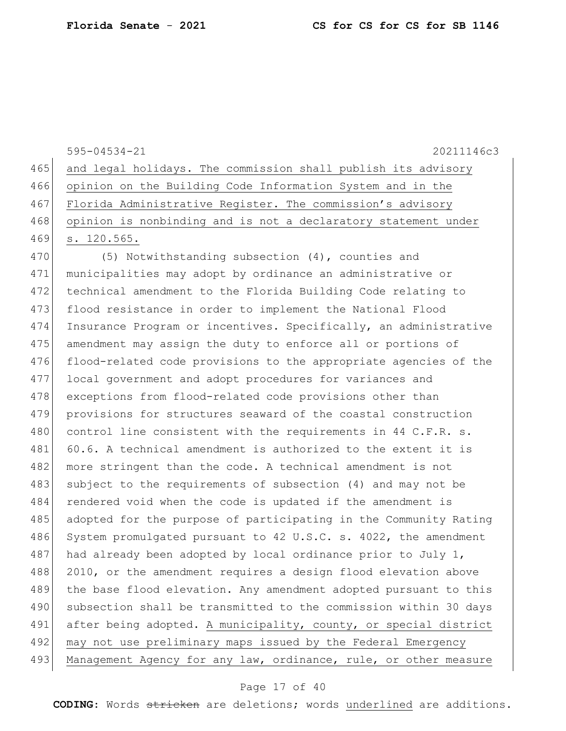595-04534-21 20211146c3 465 and legal holidays. The commission shall publish its advisory 466 opinion on the Building Code Information System and in the 467 Florida Administrative Register. The commission's advisory 468 opinion is nonbinding and is not a declaratory statement under 469 s. 120.565. 470 (5) Notwithstanding subsection (4), counties and 471 municipalities may adopt by ordinance an administrative or 472 technical amendment to the Florida Building Code relating to 473 flood resistance in order to implement the National Flood 474 Insurance Program or incentives. Specifically, an administrative 475 amendment may assign the duty to enforce all or portions of 476 flood-related code provisions to the appropriate agencies of the 477 local government and adopt procedures for variances and 478 exceptions from flood-related code provisions other than 479 provisions for structures seaward of the coastal construction 480 control line consistent with the requirements in 44 C.F.R. s. 481 60.6. A technical amendment is authorized to the extent it is 482 more stringent than the code. A technical amendment is not 483 subject to the requirements of subsection (4) and may not be 484 rendered void when the code is updated if the amendment is 485 adopted for the purpose of participating in the Community Rating 486 System promulgated pursuant to 42 U.S.C. s. 4022, the amendment 487 had already been adopted by local ordinance prior to July 1, 488 2010, or the amendment requires a design flood elevation above 489 the base flood elevation. Any amendment adopted pursuant to this 490 subsection shall be transmitted to the commission within 30 days 491 after being adopted. A municipality, county, or special district 492 may not use preliminary maps issued by the Federal Emergency 493 Management Agency for any law, ordinance, rule, or other measure

#### Page 17 of 40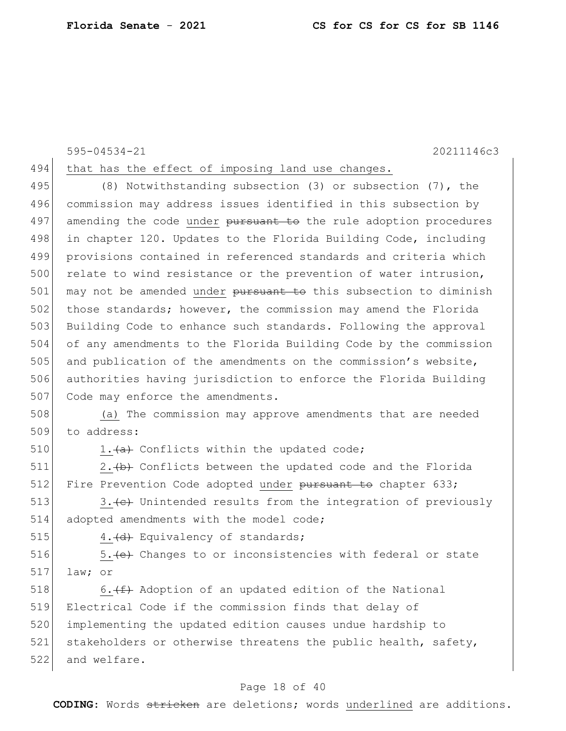595-04534-21 20211146c3

## 494 that has the effect of imposing land use changes.

495 (8) Notwithstanding subsection (3) or subsection (7), the 496 commission may address issues identified in this subsection by 497 amending the code under pursuant to the rule adoption procedures 498 in chapter 120. Updates to the Florida Building Code, including 499 provisions contained in referenced standards and criteria which 500 relate to wind resistance or the prevention of water intrusion, 501 may not be amended under pursuant to this subsection to diminish 502 those standards; however, the commission may amend the Florida 503 Building Code to enhance such standards. Following the approval 504 of any amendments to the Florida Building Code by the commission 505 and publication of the amendments on the commission's website, 506 authorities having jurisdiction to enforce the Florida Building 507 Code may enforce the amendments.

508 (a) The commission may approve amendments that are needed 509 to address:

510 1.  $(a + b)^2$  Conflicts within the updated code;

 $511$  2. (b) Conflicts between the updated code and the Florida 512 Fire Prevention Code adopted under pursuant to chapter 633;

513 3. (c) Unintended results from the integration of previously 514 adopted amendments with the model code;

515  $\left\{\n \begin{array}{ccc}\n 4. & \text{d} \\
4. & \text{Equivalency of standards}\n \end{array}\n \right\}$ 

516 5. (e) Changes to or inconsistencies with federal or state 517 law; or

518 6.  $(f + A)$  Adoption of an updated edition of the National 519 Electrical Code if the commission finds that delay of 520 implementing the updated edition causes undue hardship to 521 stakeholders or otherwise threatens the public health, safety, 522 and welfare.

## Page 18 of 40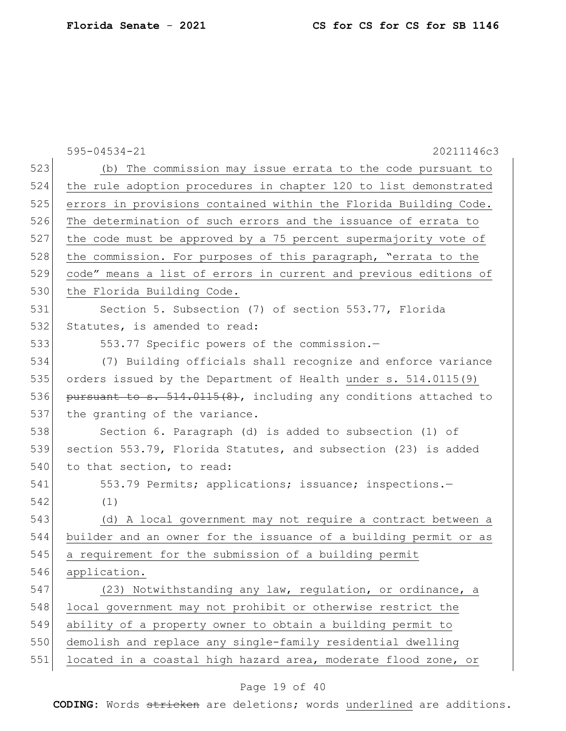|     | $595 - 04534 - 21$<br>20211146c3                                 |
|-----|------------------------------------------------------------------|
| 523 | (b) The commission may issue errata to the code pursuant to      |
| 524 | the rule adoption procedures in chapter 120 to list demonstrated |
| 525 | errors in provisions contained within the Florida Building Code. |
| 526 | The determination of such errors and the issuance of errata to   |
| 527 | the code must be approved by a 75 percent supermajority vote of  |
| 528 | the commission. For purposes of this paragraph, "errata to the   |
| 529 | code" means a list of errors in current and previous editions of |
| 530 | the Florida Building Code.                                       |
| 531 | Section 5. Subsection (7) of section 553.77, Florida             |
| 532 | Statutes, is amended to read:                                    |
| 533 | 553.77 Specific powers of the commission.-                       |
| 534 | (7) Building officials shall recognize and enforce variance      |
| 535 | orders issued by the Department of Health under s. 514.0115(9)   |
| 536 | pursuant to s. 514.0115(8), including any conditions attached to |
| 537 | the granting of the variance.                                    |
| 538 | Section 6. Paragraph (d) is added to subsection (1) of           |
| 539 | section 553.79, Florida Statutes, and subsection (23) is added   |
| 540 | to that section, to read:                                        |
| 541 | 553.79 Permits; applications; issuance; inspections.-            |
| 542 | (1)                                                              |
| 543 | (d) A local government may not require a contract between a      |
| 544 | builder and an owner for the issuance of a building permit or as |
| 545 | a requirement for the submission of a building permit            |
| 546 | application.                                                     |
| 547 | (23) Notwithstanding any law, regulation, or ordinance, a        |
| 548 | local government may not prohibit or otherwise restrict the      |
| 549 | ability of a property owner to obtain a building permit to       |
| 550 | demolish and replace any single-family residential dwelling      |
| 551 | located in a coastal high hazard area, moderate flood zone, or   |
|     |                                                                  |

# Page 19 of 40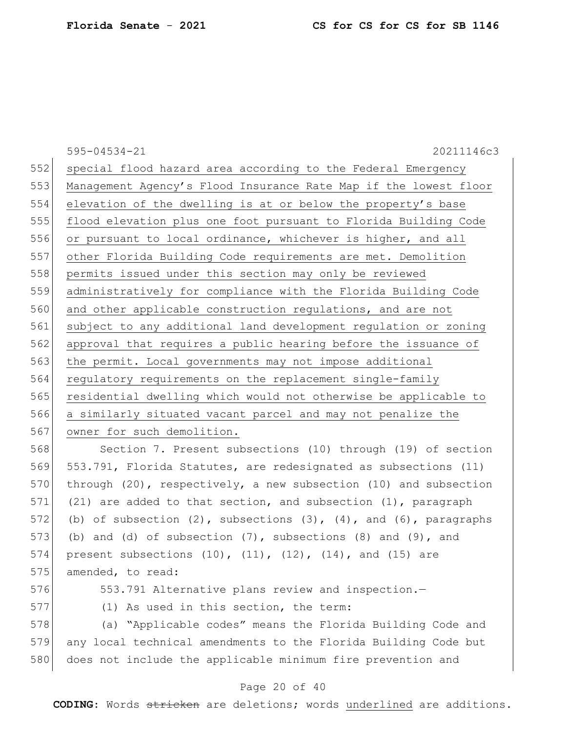595-04534-21 20211146c3 552 special flood hazard area according to the Federal Emergency 553 Management Agency's Flood Insurance Rate Map if the lowest floor 554 elevation of the dwelling is at or below the property's base 555 flood elevation plus one foot pursuant to Florida Building Code 556 or pursuant to local ordinance, whichever is higher, and all 557 other Florida Building Code requirements are met. Demolition 558 permits issued under this section may only be reviewed 559 administratively for compliance with the Florida Building Code 560 and other applicable construction regulations, and are not 561 subject to any additional land development regulation or zoning 562 approval that requires a public hearing before the issuance of 563 the permit. Local governments may not impose additional 564 regulatory requirements on the replacement single-family 565 residential dwelling which would not otherwise be applicable to 566 a similarly situated vacant parcel and may not penalize the 567 owner for such demolition.

568 Section 7. Present subsections (10) through (19) of section 569 553.791, Florida Statutes, are redesignated as subsections (11) 570 through (20), respectively, a new subsection (10) and subsection 571 (21) are added to that section, and subsection  $(1)$ , paragraph 572 (b) of subsection  $(2)$ , subsections  $(3)$ ,  $(4)$ , and  $(6)$ , paragraphs 573 (b) and (d) of subsection  $(7)$ , subsections  $(8)$  and  $(9)$ , and 574 present subsections (10), (11), (12), (14), and (15) are 575 amended, to read:

576 553.791 Alternative plans review and inspection.

577 (1) As used in this section, the term:

578 (a) "Applicable codes" means the Florida Building Code and 579 any local technical amendments to the Florida Building Code but 580 does not include the applicable minimum fire prevention and

## Page 20 of 40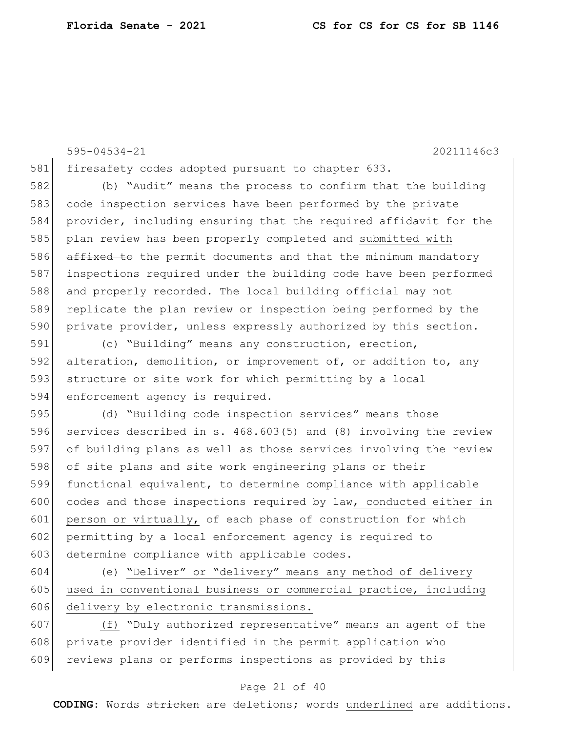595-04534-21 20211146c3

581 firesafety codes adopted pursuant to chapter 633.

 (b) "Audit" means the process to confirm that the building code inspection services have been performed by the private provider, including ensuring that the required affidavit for the plan review has been properly completed and submitted with  $affixed to the permit documents and that the minimum mandatory$ 587 inspections required under the building code have been performed and properly recorded. The local building official may not 589 replicate the plan review or inspection being performed by the 590 private provider, unless expressly authorized by this section.

591 (c) "Building" means any construction, erection, 592 alteration, demolition, or improvement of, or addition to, any 593 structure or site work for which permitting by a local 594 enforcement agency is required.

 (d) "Building code inspection services" means those services described in s. 468.603(5) and (8) involving the review of building plans as well as those services involving the review 598 of site plans and site work engineering plans or their functional equivalent, to determine compliance with applicable codes and those inspections required by law, conducted either in 601 person or virtually, of each phase of construction for which permitting by a local enforcement agency is required to 603 determine compliance with applicable codes.

604 (e) "Deliver" or "delivery" means any method of delivery 605 used in conventional business or commercial practice, including 606 delivery by electronic transmissions.

607  $(f)$  "Duly authorized representative" means an agent of the 608 private provider identified in the permit application who 609 reviews plans or performs inspections as provided by this

#### Page 21 of 40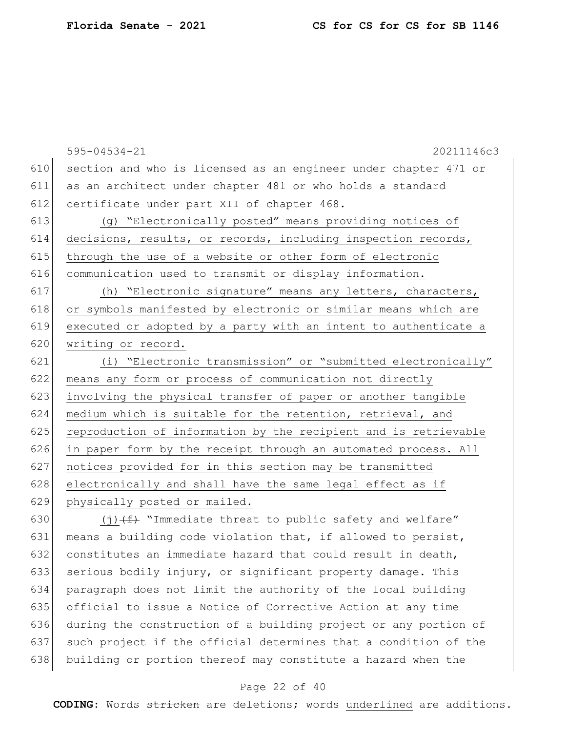595-04534-21 20211146c3 610 section and who is licensed as an engineer under chapter 471 or 611 as an architect under chapter 481 or who holds a standard 612 certificate under part XII of chapter 468. 613 (g) "Electronically posted" means providing notices of 614 decisions, results, or records, including inspection records, 615 through the use of a website or other form of electronic 616 communication used to transmit or display information. 617 (h) "Electronic signature" means any letters, characters, 618 or symbols manifested by electronic or similar means which are 619 executed or adopted by a party with an intent to authenticate a 620 writing or record. 621 (i) "Electronic transmission" or "submitted electronically" 622 means any form or process of communication not directly 623 involving the physical transfer of paper or another tangible 624 medium which is suitable for the retention, retrieval, and 625 reproduction of information by the recipient and is retrievable 626 in paper form by the receipt through an automated process. All 627 notices provided for in this section may be transmitted 628 electronically and shall have the same legal effect as if 629 physically posted or mailed. 630 (j)  $(f)$  "Immediate threat to public safety and welfare" 631 means a building code violation that, if allowed to persist,

632 constitutes an immediate hazard that could result in death, serious bodily injury, or significant property damage. This paragraph does not limit the authority of the local building official to issue a Notice of Corrective Action at any time during the construction of a building project or any portion of such project if the official determines that a condition of the building or portion thereof may constitute a hazard when the

## Page 22 of 40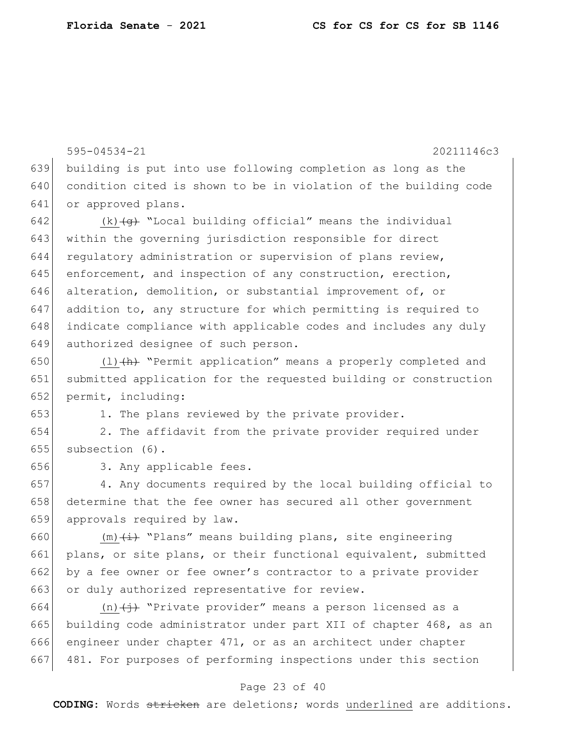595-04534-21 20211146c3 building is put into use following completion as long as the condition cited is shown to be in violation of the building code or approved plans.  $(k)$   $\left\langle \varphi \right\rangle$  "Local building official" means the individual within the governing jurisdiction responsible for direct 644 regulatory administration or supervision of plans review, 645 enforcement, and inspection of any construction, erection, alteration, demolition, or substantial improvement of, or addition to, any structure for which permitting is required to indicate compliance with applicable codes and includes any duly authorized designee of such person.  $(1)$   $(h)$  "Permit application" means a properly completed and submitted application for the requested building or construction permit, including: 1. The plans reviewed by the private provider. 654 2. The affidavit from the private provider required under subsection (6). 3. Any applicable fees. 4. Any documents required by the local building official to determine that the fee owner has secured all other government approvals required by law.  $(m)$   $(i)$  "Plans" means building plans, site engineering 661 plans, or site plans, or their functional equivalent, submitted 662 by a fee owner or fee owner's contractor to a private provider 663 or duly authorized representative for review. 664 (n)  $\left(\dfrac{1}{1}\right)$  "Private provider" means a person licensed as a

665 building code administrator under part XII of chapter 468, as an 666 engineer under chapter 471, or as an architect under chapter 667 481. For purposes of performing inspections under this section

## Page 23 of 40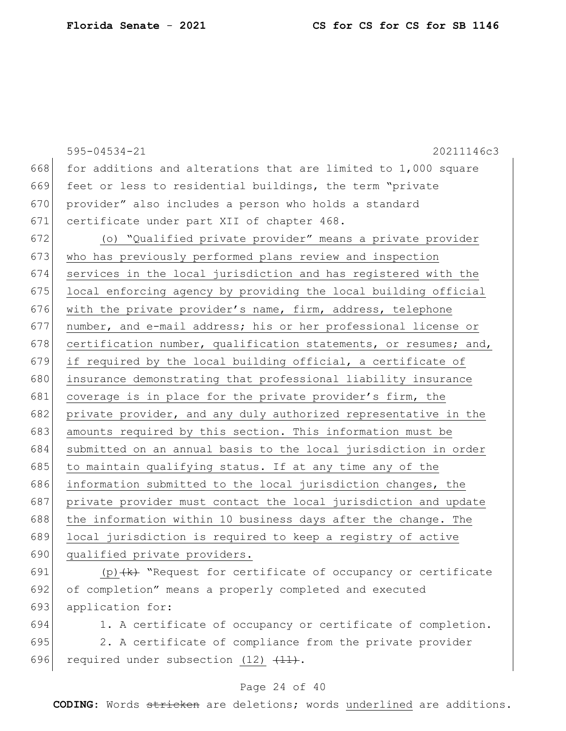|     | $595 - 04534 - 21$<br>20211146c3                                 |
|-----|------------------------------------------------------------------|
| 668 | for additions and alterations that are limited to 1,000 square   |
| 669 | feet or less to residential buildings, the term "private         |
| 670 | provider" also includes a person who holds a standard            |
| 671 | certificate under part XII of chapter 468.                       |
| 672 | (o) "Qualified private provider" means a private provider        |
| 673 | who has previously performed plans review and inspection         |
| 674 | services in the local jurisdiction and has registered with the   |
| 675 | local enforcing agency by providing the local building official  |
| 676 | with the private provider's name, firm, address, telephone       |
| 677 | number, and e-mail address; his or her professional license or   |
| 678 | certification number, qualification statements, or resumes; and, |
| 679 | if required by the local building official, a certificate of     |
| 680 | insurance demonstrating that professional liability insurance    |
| 681 | coverage is in place for the private provider's firm, the        |
| 682 | private provider, and any duly authorized representative in the  |
| 683 | amounts required by this section. This information must be       |
| 684 | submitted on an annual basis to the local jurisdiction in order  |
| 685 | to maintain qualifying status. If at any time any of the         |
| 686 | information submitted to the local jurisdiction changes, the     |
| 687 | private provider must contact the local jurisdiction and update  |
| 688 | the information within 10 business days after the change. The    |
| 689 | local jurisdiction is required to keep a registry of active      |
| 690 | qualified private providers.                                     |
| 691 | (p) $\{k\}$ "Request for certificate of occupancy or certificate |
| 692 | of completion" means a properly completed and executed           |
| 693 | application for:                                                 |

694 1. A certificate of occupancy or certificate of completion.

695 2. A certificate of compliance from the private provider 696 required under subsection  $(12)$   $(11)$ .

## Page 24 of 40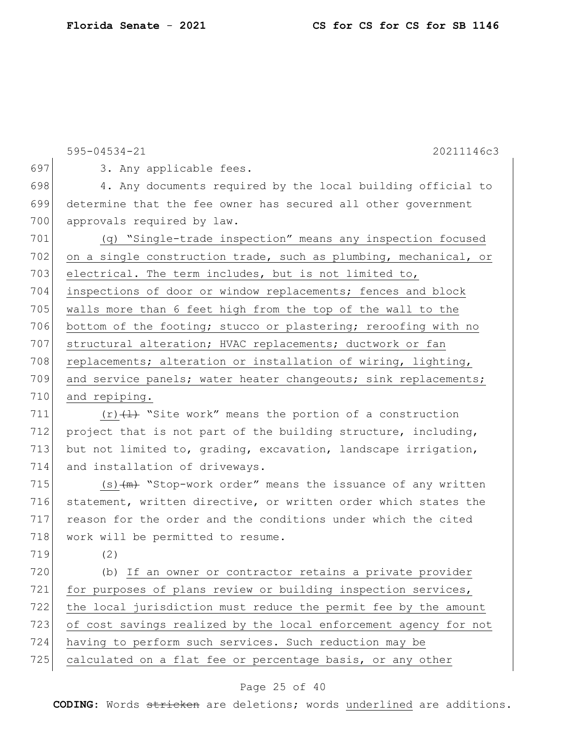595-04534-21 20211146c3 697 3. Any applicable fees. 698 4. Any documents required by the local building official to 699 determine that the fee owner has secured all other government 700 approvals required by law. 701 (q) "Single-trade inspection" means any inspection focused 702 on a single construction trade, such as plumbing, mechanical, or 703 electrical. The term includes, but is not limited to, 704 inspections of door or window replacements; fences and block 705 walls more than 6 feet high from the top of the wall to the 706 bottom of the footing; stucco or plastering; reroofing with no 707 structural alteration; HVAC replacements; ductwork or fan 708 replacements; alteration or installation of wiring, lighting, 709 and service panels; water heater changeouts; sink replacements; 710 and repiping. 711  $(r)$   $(1)$  "Site work" means the portion of a construction 712 project that is not part of the building structure, including, 713 but not limited to, grading, excavation, landscape irrigation, 714 and installation of driveways. 715  $(s)$   $(m)$  "Stop-work order" means the issuance of any written 716 statement, written directive, or written order which states the 717 reason for the order and the conditions under which the cited 718 work will be permitted to resume. 719 (2) 720 (b) If an owner or contractor retains a private provider 721 for purposes of plans review or building inspection services, 722 the local jurisdiction must reduce the permit fee by the amount 723 of cost savings realized by the local enforcement agency for not

- 724 having to perform such services. Such reduction may be
- 725 calculated on a flat fee or percentage basis, or any other

## Page 25 of 40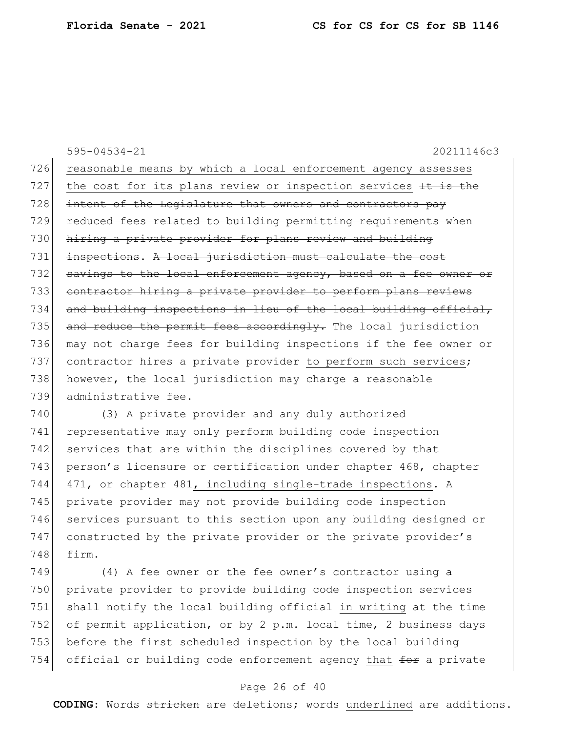595-04534-21 20211146c3 726 reasonable means by which a local enforcement agency assesses 727 the cost for its plans review or inspection services  $H + I$ 728 intent of the Legislature that owners and contractors pay 729 reduced fees related to building permitting requirements when 730 hiring a private provider for plans review and building 731 inspections. A local jurisdiction must calculate the cost 732 savings to the local enforcement agency, based on a fee owner or 733 contractor hiring a private provider to perform plans reviews 734 and building inspections in lieu of the local building official, 735 and reduce the permit fees accordingly. The local jurisdiction 736 may not charge fees for building inspections if the fee owner or 737 contractor hires a private provider to perform such services; 738 however, the local jurisdiction may charge a reasonable 739 administrative fee.

740 (3) A private provider and any duly authorized 741 representative may only perform building code inspection 742 services that are within the disciplines covered by that 743 person's licensure or certification under chapter 468, chapter 744 471, or chapter 481, including single-trade inspections. A 745 private provider may not provide building code inspection 746 services pursuant to this section upon any building designed or 747 constructed by the private provider or the private provider's 748 firm.

749 (4) A fee owner or the fee owner's contractor using a 750 | private provider to provide building code inspection services 751 shall notify the local building official in writing at the time 752 of permit application, or by 2 p.m. local time, 2 business days 753 before the first scheduled inspection by the local building 754 official or building code enforcement agency that for a private

## Page 26 of 40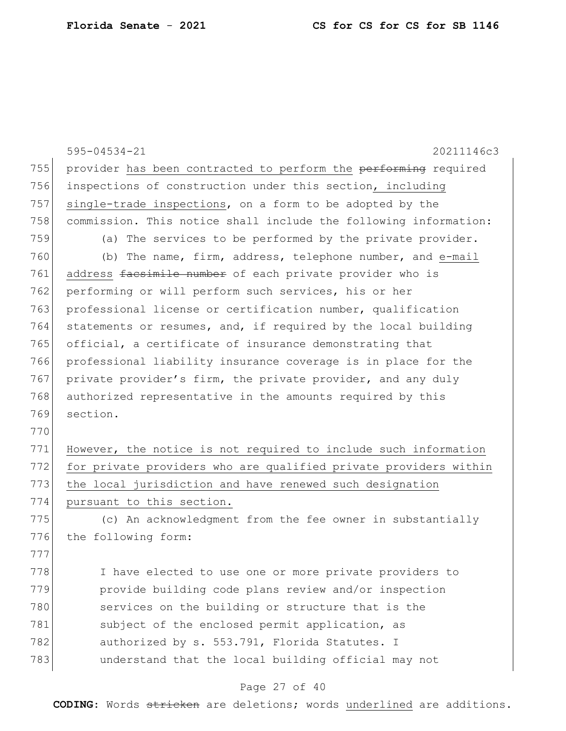|     | 20211146c3<br>$595 - 04534 - 21$                                 |
|-----|------------------------------------------------------------------|
| 755 | provider has been contracted to perform the performing required  |
| 756 | inspections of construction under this section, including        |
| 757 | single-trade inspections, on a form to be adopted by the         |
| 758 | commission. This notice shall include the following information: |
| 759 | (a) The services to be performed by the private provider.        |
| 760 | (b) The name, firm, address, telephone number, and e-mail        |
| 761 | address facsimile number of each private provider who is         |
| 762 | performing or will perform such services, his or her             |
| 763 | professional license or certification number, qualification      |
| 764 | statements or resumes, and, if required by the local building    |
| 765 | official, a certificate of insurance demonstrating that          |
| 766 | professional liability insurance coverage is in place for the    |
| 767 | private provider's firm, the private provider, and any duly      |
| 768 | authorized representative in the amounts required by this        |
| 769 | section.                                                         |
| 770 |                                                                  |
| 771 | However, the notice is not required to include such information  |
| 772 | for private providers who are qualified private providers within |
| 773 | the local jurisdiction and have renewed such designation         |
| 774 | pursuant to this section.                                        |
| 775 | (c) An acknowledgment from the fee owner in substantially        |
| 776 | the following form:                                              |
| 777 |                                                                  |
| 778 | I have elected to use one or more private providers to           |
| 779 | provide building code plans review and/or inspection             |
| 780 | services on the building or structure that is the                |
| 781 | subject of the enclosed permit application, as                   |
| 782 | authorized by s. 553.791, Florida Statutes. I                    |
| 783 | understand that the local building official may not              |
|     |                                                                  |

# Page 27 of 40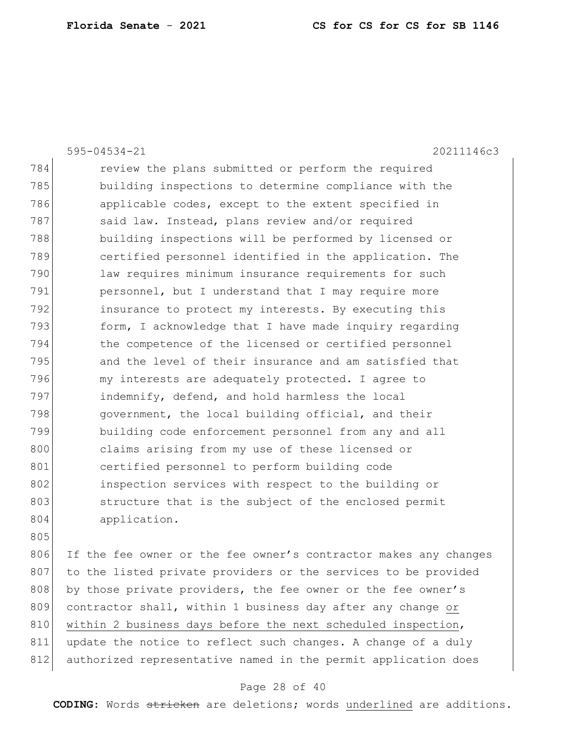|     | $595 - 04534 - 21$<br>20211146c3                       |
|-----|--------------------------------------------------------|
| 784 | review the plans submitted or perform the required     |
| 785 | building inspections to determine compliance with the  |
| 786 | applicable codes, except to the extent specified in    |
| 787 | said law. Instead, plans review and/or required        |
| 788 | building inspections will be performed by licensed or  |
| 789 | certified personnel identified in the application. The |
| 790 | law requires minimum insurance requirements for such   |
| 791 | personnel, but I understand that I may require more    |
| 792 | insurance to protect my interests. By executing this   |
| 793 | form, I acknowledge that I have made inquiry regarding |
| 794 | the competence of the licensed or certified personnel  |
| 795 | and the level of their insurance and am satisfied that |
| 796 | my interests are adequately protected. I agree to      |
| 797 | indemnify, defend, and hold harmless the local         |
| 798 | government, the local building official, and their     |
| 799 | building code enforcement personnel from any and all   |
| 800 | claims arising from my use of these licensed or        |
| 801 | certified personnel to perform building code           |
| 802 | inspection services with respect to the building or    |
| 803 | structure that is the subject of the enclosed permit   |
| 804 | application.                                           |
| 805 |                                                        |

806 If the fee owner or the fee owner's contractor makes any changes 807 to the listed private providers or the services to be provided 808 by those private providers, the fee owner or the fee owner's 809 contractor shall, within 1 business day after any change or 810 within 2 business days before the next scheduled inspection, update the notice to reflect such changes. A change of a duly 812 authorized representative named in the permit application does

## Page 28 of 40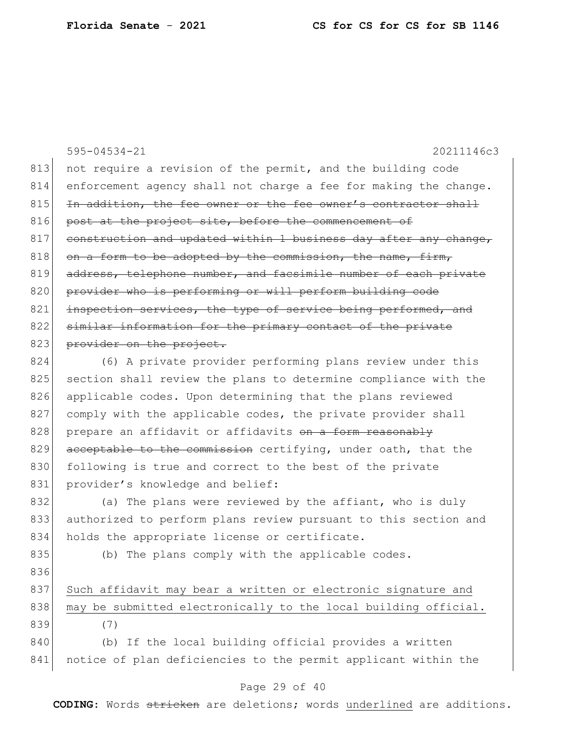|     | $595 - 04534 - 21$<br>20211146c3                                 |
|-----|------------------------------------------------------------------|
| 813 | not require a revision of the permit, and the building code      |
| 814 | enforcement agency shall not charge a fee for making the change. |
| 815 | In addition, the fee owner or the fee owner's contractor shall   |
| 816 | post at the project site, before the commencement of             |
| 817 | construction and updated within 1 business day after any change, |
| 818 | on a form to be adopted by the commission, the name, firm,       |
| 819 | address, telephone number, and facsimile number of each private  |
| 820 | provider who is performing or will perform building code         |
| 821 | inspection services, the type of service being performed, and    |
| 822 | similar information for the primary contact of the private       |
| 823 | provider on the project.                                         |
| 824 | (6) A private provider performing plans review under this        |
| 825 | section shall review the plans to determine compliance with the  |
| 826 | applicable codes. Upon determining that the plans reviewed       |
| 827 | comply with the applicable codes, the private provider shall     |
| 828 | prepare an affidavit or affidavits on a form reasonably          |
| 829 | acceptable to the commission certifying, under oath, that the    |
| 830 | following is true and correct to the best of the private         |
| 831 | provider's knowledge and belief:                                 |
| 832 | (a) The plans were reviewed by the affiant, who is duly          |
| 833 | authorized to perform plans review pursuant to this section and  |
| 834 | holds the appropriate license or certificate.                    |
| 835 | (b) The plans comply with the applicable codes.                  |
| 836 |                                                                  |
| 837 | Such affidavit may bear a written or electronic signature and    |
| 838 | may be submitted electronically to the local building official.  |
| 839 | (7)                                                              |
| 840 | (b) If the local building official provides a written            |
| 841 | notice of plan deficiencies to the permit applicant within the   |

# Page 29 of 40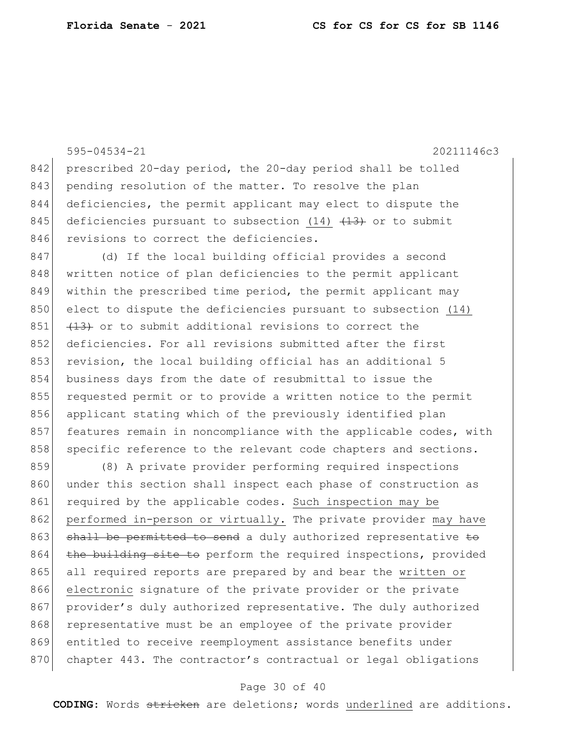595-04534-21 20211146c3 842 prescribed 20-day period, the 20-day period shall be tolled 843 pending resolution of the matter. To resolve the plan 844 deficiencies, the permit applicant may elect to dispute the 845 deficiencies pursuant to subsection  $(14)$   $\overline{+13}$  or to submit 846 revisions to correct the deficiencies. 847 (d) If the local building official provides a second 848 written notice of plan deficiencies to the permit applicant 849 within the prescribed time period, the permit applicant may 850 elect to dispute the deficiencies pursuant to subsection (14)  $851$   $(13)$  or to submit additional revisions to correct the 852 deficiencies. For all revisions submitted after the first 853 revision, the local building official has an additional 5 854 business days from the date of resubmittal to issue the 855 requested permit or to provide a written notice to the permit 856 applicant stating which of the previously identified plan 857 features remain in noncompliance with the applicable codes, with 858 specific reference to the relevant code chapters and sections. 859 (8) A private provider performing required inspections 860 under this section shall inspect each phase of construction as 861 required by the applicable codes. Such inspection may be 862 performed in-person or virtually. The private provider may have 863 shall be permitted to send a duly authorized representative to 864 the building site to perform the required inspections, provided 865 all required reports are prepared by and bear the written or 866 electronic signature of the private provider or the private 867 provider's duly authorized representative. The duly authorized 868 representative must be an employee of the private provider 869 entitled to receive reemployment assistance benefits under 870 chapter 443. The contractor's contractual or legal obligations

#### Page 30 of 40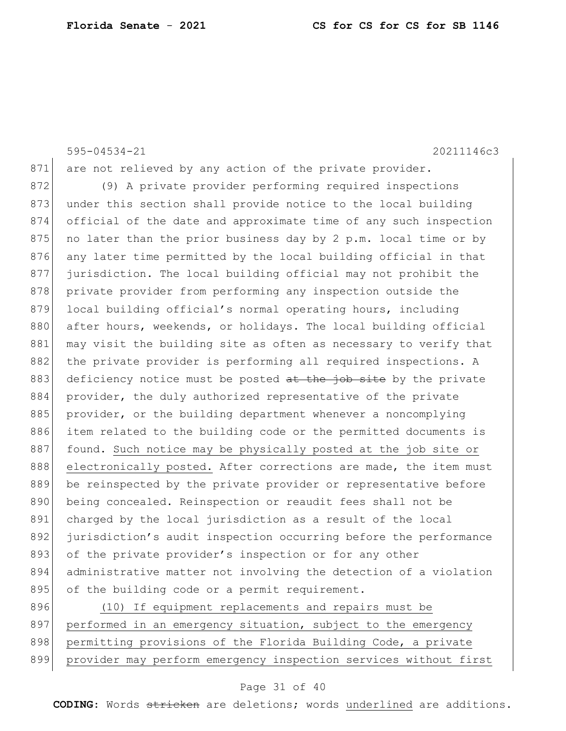595-04534-21 20211146c3 871 are not relieved by any action of the private provider. 872 (9) A private provider performing required inspections 873 under this section shall provide notice to the local building 874 official of the date and approximate time of any such inspection 875 no later than the prior business day by 2 p.m. local time or by 876 any later time permitted by the local building official in that 877 jurisdiction. The local building official may not prohibit the 878 private provider from performing any inspection outside the 879 local building official's normal operating hours, including 880 after hours, weekends, or holidays. The local building official 881 may visit the building site as often as necessary to verify that 882 the private provider is performing all required inspections. A 883 deficiency notice must be posted at the job site by the private 884 provider, the duly authorized representative of the private 885 provider, or the building department whenever a noncomplying 886 item related to the building code or the permitted documents is 887 found. Such notice may be physically posted at the job site or 888 electronically posted. After corrections are made, the item must 889 be reinspected by the private provider or representative before 890 being concealed. Reinspection or reaudit fees shall not be 891 charged by the local jurisdiction as a result of the local 892 jurisdiction's audit inspection occurring before the performance 893 of the private provider's inspection or for any other 894 administrative matter not involving the detection of a violation 895 of the building code or a permit requirement. 896 (10) If equipment replacements and repairs must be 897 performed in an emergency situation, subject to the emergency 898 permitting provisions of the Florida Building Code, a private 899 provider may perform emergency inspection services without first

## Page 31 of 40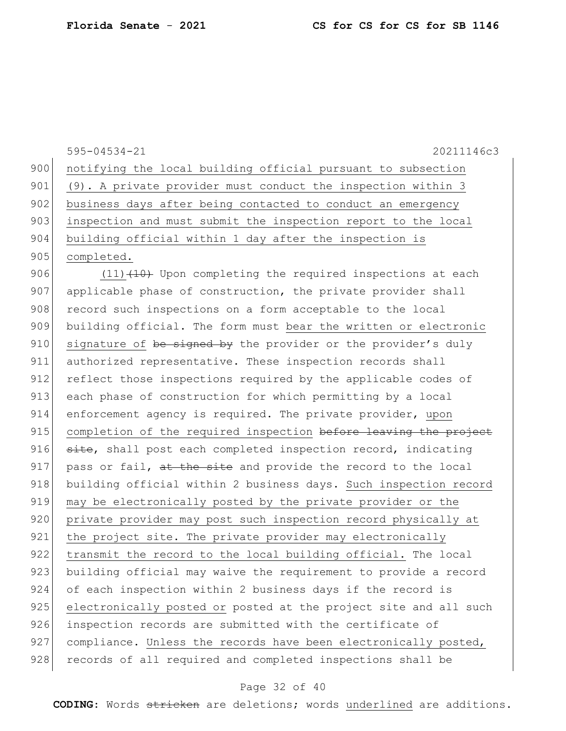595-04534-21 20211146c3 900 notifying the local building official pursuant to subsection 901 (9). A private provider must conduct the inspection within 3 902 business days after being contacted to conduct an emergency 903 inspection and must submit the inspection report to the local 904 building official within 1 day after the inspection is 905 completed. 906  $(11)$   $(10)$  Upon completing the required inspections at each 907 applicable phase of construction, the private provider shall 908 record such inspections on a form acceptable to the local 909 building official. The form must bear the written or electronic 910 signature of be signed by the provider or the provider's duly 911 authorized representative. These inspection records shall 912 reflect those inspections required by the applicable codes of 913 each phase of construction for which permitting by a local 914 enforcement agency is required. The private provider, upon 915 completion of the required inspection before leaving the project 916  $\frac{1}{100}$  site, shall post each completed inspection record, indicating 917 pass or fail,  $at$  the site and provide the record to the local 918 building official within 2 business days. Such inspection record 919 may be electronically posted by the private provider or the 920 private provider may post such inspection record physically at 921 the project site. The private provider may electronically 922 transmit the record to the local building official. The local 923 building official may waive the requirement to provide a record 924 of each inspection within 2 business days if the record is 925 electronically posted or posted at the project site and all such 926 inspection records are submitted with the certificate of 927 compliance. Unless the records have been electronically posted, 928 records of all required and completed inspections shall be

#### Page 32 of 40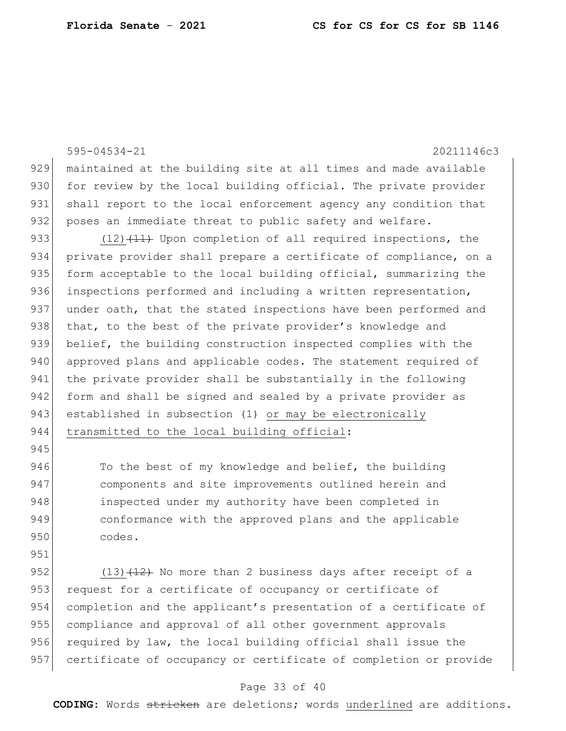|     | $595 - 04534 - 21$<br>20211146c3                                 |
|-----|------------------------------------------------------------------|
| 929 | maintained at the building site at all times and made available  |
| 930 | for review by the local building official. The private provider  |
| 931 | shall report to the local enforcement agency any condition that  |
| 932 | poses an immediate threat to public safety and welfare.          |
| 933 | $(12)$ $(11)$ Upon completion of all required inspections, the   |
| 934 | private provider shall prepare a certificate of compliance, on a |
| 935 | form acceptable to the local building official, summarizing the  |
| 936 | inspections performed and including a written representation,    |
| 937 | under oath, that the stated inspections have been performed and  |
| 938 | that, to the best of the private provider's knowledge and        |
| 939 | belief, the building construction inspected complies with the    |
| 940 | approved plans and applicable codes. The statement required of   |
| 941 | the private provider shall be substantially in the following     |
| 942 | form and shall be signed and sealed by a private provider as     |
| 943 | established in subsection (1) or may be electronically           |
| 944 | transmitted to the local building official:                      |
| 945 |                                                                  |
| 946 | To the best of my knowledge and belief, the building             |
| 947 | components and site improvements outlined herein and             |
| 948 | inspected under my authority have been completed in              |
| 949 | conformance with the approved plans and the applicable           |
| 950 | codes.                                                           |
| 951 |                                                                  |
| 952 | $(13)$ $(12)$ No more than 2 business days after receipt of a    |
| 953 | request for a certificate of occupancy or certificate of         |
| 954 | completion and the applicant's presentation of a certificate of  |
| 955 | compliance and approval of all other government approvals        |
| 956 | required by law, the local building official shall issue the     |
| 957 | certificate of occupancy or certificate of completion or provide |
|     |                                                                  |

# Page 33 of 40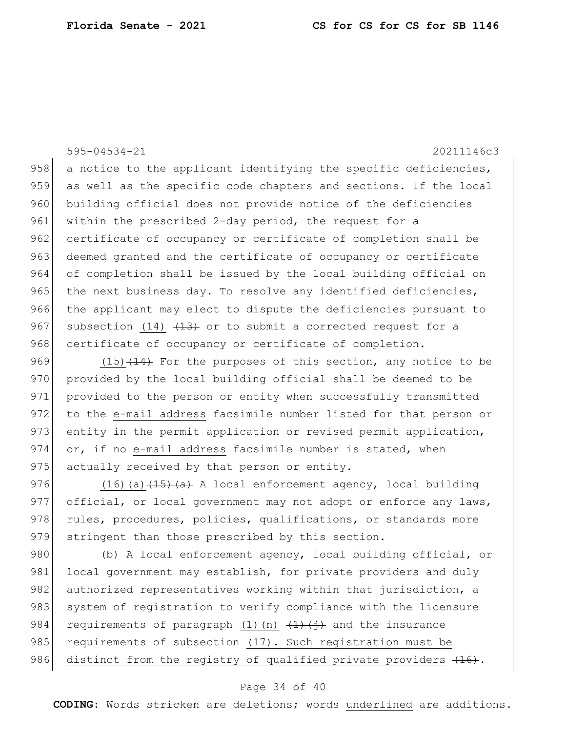595-04534-21 20211146c3 958 a notice to the applicant identifying the specific deficiencies, 959 as well as the specific code chapters and sections. If the local 960 building official does not provide notice of the deficiencies 961 within the prescribed 2-day period, the request for a 962 certificate of occupancy or certificate of completion shall be 963 deemed granted and the certificate of occupancy or certificate 964 of completion shall be issued by the local building official on 965 the next business day. To resolve any identified deficiencies, 966 the applicant may elect to dispute the deficiencies pursuant to 967 subsection (14)  $(13)$  or to submit a corrected request for a 968 certificate of occupancy or certificate of completion. 969  $(15)$   $(14)$  For the purposes of this section, any notice to be

970 provided by the local building official shall be deemed to be 971 provided to the person or entity when successfully transmitted 972 to the e-mail address facsimile number listed for that person or 973 entity in the permit application or revised permit application, 974 or, if no e-mail address  $f$  a simile number is stated, when  $975$  actually received by that person or entity.

976 (16)(a)  $\left(16\right)$  (a)  $\left(15\right)$  A local enforcement agency, local building 977 official, or local government may not adopt or enforce any laws, 978 rules, procedures, policies, qualifications, or standards more 979 stringent than those prescribed by this section.

980 (b) A local enforcement agency, local building official, or 981 local government may establish, for private providers and duly 982 authorized representatives working within that jurisdiction, a 983 system of registration to verify compliance with the licensure 984 requirements of paragraph (1)(n)  $\left(1\right)\left(1\right)$  and the insurance 985 requirements of subsection (17). Such registration must be 986 distinct from the registry of qualified private providers  $(16)$ .

## Page 34 of 40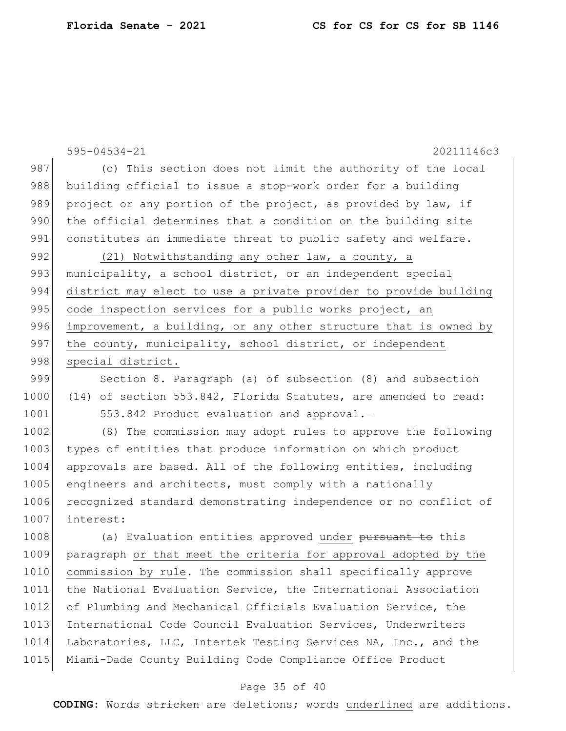|      | $595 - 04534 - 21$<br>20211146c3                                 |
|------|------------------------------------------------------------------|
| 987  | (c) This section does not limit the authority of the local       |
| 988  | building official to issue a stop-work order for a building      |
| 989  | project or any portion of the project, as provided by law, if    |
| 990  | the official determines that a condition on the building site    |
| 991  | constitutes an immediate threat to public safety and welfare.    |
| 992  | (21) Notwithstanding any other law, a county, a                  |
| 993  | municipality, a school district, or an independent special       |
| 994  | district may elect to use a private provider to provide building |
| 995  | code inspection services for a public works project, an          |
| 996  | improvement, a building, or any other structure that is owned by |
| 997  | the county, municipality, school district, or independent        |
| 998  | special district.                                                |
| 999  | Section 8. Paragraph (a) of subsection (8) and subsection        |
| 1000 | (14) of section 553.842, Florida Statutes, are amended to read:  |
| 1001 | 553.842 Product evaluation and approval.-                        |
| 1002 | (8) The commission may adopt rules to approve the following      |
| 1003 | types of entities that produce information on which product      |
| 1004 | approvals are based. All of the following entities, including    |
| 1005 | engineers and architects, must comply with a nationally          |
| 1006 | recognized standard demonstrating independence or no conflict of |
| 1007 | interest:                                                        |
| 1008 | (a) Evaluation entities approved under pursuant to this          |
| 1009 | paragraph or that meet the criteria for approval adopted by the  |
| 1010 | commission by rule. The commission shall specifically approve    |
| 1011 | the National Evaluation Service, the International Association   |
| 1012 | of Plumbing and Mechanical Officials Evaluation Service, the     |
| 1013 | International Code Council Evaluation Services, Underwriters     |
| 1014 | Laboratories, LLC, Intertek Testing Services NA, Inc., and the   |
| 1015 | Miami-Dade County Building Code Compliance Office Product        |

# Page 35 of 40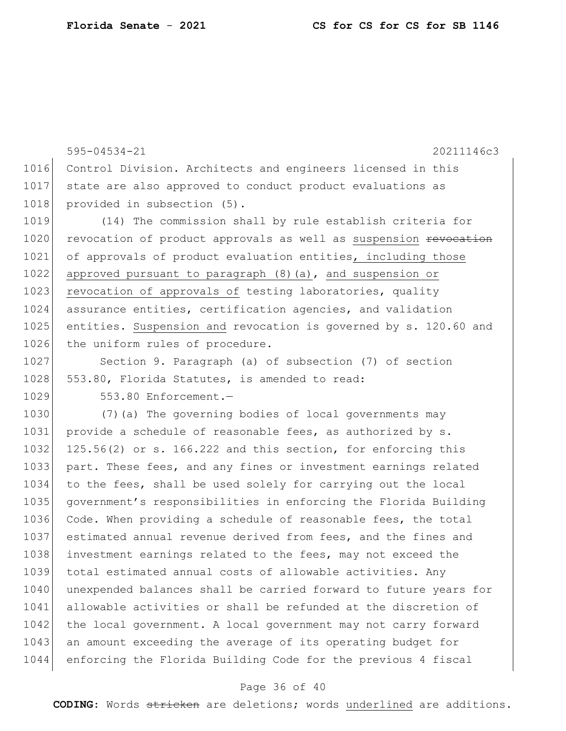595-04534-21 20211146c3 1016 Control Division. Architects and engineers licensed in this 1017 state are also approved to conduct product evaluations as 1018 provided in subsection (5). 1019 (14) The commission shall by rule establish criteria for 1020 revocation of product approvals as well as suspension revocation 1021 of approvals of product evaluation entities, including those 1022 approved pursuant to paragraph (8)(a), and suspension or 1023 revocation of approvals of testing laboratories, quality 1024 assurance entities, certification agencies, and validation 1025 entities. Suspension and revocation is governed by s. 120.60 and 1026 the uniform rules of procedure. 1027 Section 9. Paragraph (a) of subsection (7) of section 1028 553.80, Florida Statutes, is amended to read: 1029 553.80 Enforcement.— 1030 (7)(a) The governing bodies of local governments may 1031 provide a schedule of reasonable fees, as authorized by s. 1032 125.56(2) or s. 166.222 and this section, for enforcing this 1033 part. These fees, and any fines or investment earnings related 1034 to the fees, shall be used solely for carrying out the local 1035 government's responsibilities in enforcing the Florida Building 1036 Code. When providing a schedule of reasonable fees, the total 1037 estimated annual revenue derived from fees, and the fines and 1038 investment earnings related to the fees, may not exceed the 1039 total estimated annual costs of allowable activities. Any 1040 unexpended balances shall be carried forward to future years for 1041 allowable activities or shall be refunded at the discretion of 1042 the local government. A local government may not carry forward 1043 an amount exceeding the average of its operating budget for 1044 enforcing the Florida Building Code for the previous 4 fiscal

#### Page 36 of 40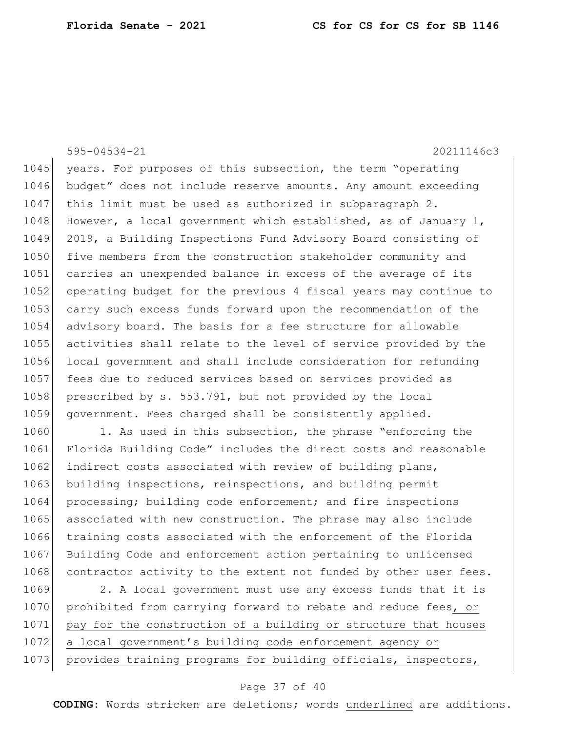595-04534-21 20211146c3

1045 years. For purposes of this subsection, the term "operating" 1046 budget" does not include reserve amounts. Any amount exceeding 1047 this limit must be used as authorized in subparagraph 2. 1048 However, a local government which established, as of January 1, 1049 2019, a Building Inspections Fund Advisory Board consisting of 1050 five members from the construction stakeholder community and 1051 carries an unexpended balance in excess of the average of its 1052 operating budget for the previous 4 fiscal years may continue to 1053 carry such excess funds forward upon the recommendation of the 1054 advisory board. The basis for a fee structure for allowable 1055 activities shall relate to the level of service provided by the 1056 local government and shall include consideration for refunding 1057 fees due to reduced services based on services provided as 1058 prescribed by s. 553.791, but not provided by the local 1059 government. Fees charged shall be consistently applied.

1060 1. As used in this subsection, the phrase "enforcing the 1061 Florida Building Code" includes the direct costs and reasonable 1062 indirect costs associated with review of building plans, 1063 building inspections, reinspections, and building permit 1064 processing; building code enforcement; and fire inspections 1065 associated with new construction. The phrase may also include 1066 training costs associated with the enforcement of the Florida 1067 Building Code and enforcement action pertaining to unlicensed 1068 contractor activity to the extent not funded by other user fees.

1069 2. A local government must use any excess funds that it is 1070 prohibited from carrying forward to rebate and reduce fees, or 1071 pay for the construction of a building or structure that houses 1072 a local government's building code enforcement agency or 1073 provides training programs for building officials, inspectors,

#### Page 37 of 40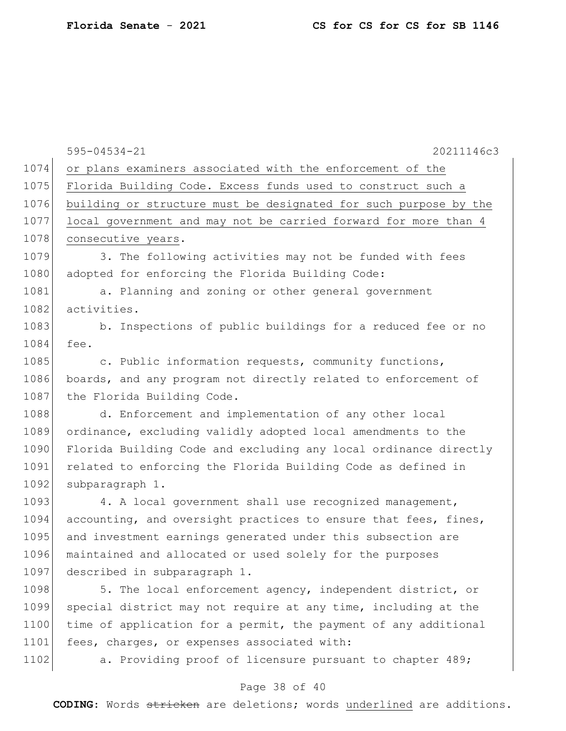|      | $595 - 04534 - 21$<br>20211146c3                                 |
|------|------------------------------------------------------------------|
| 1074 | or plans examiners associated with the enforcement of the        |
| 1075 | Florida Building Code. Excess funds used to construct such a     |
|      | building or structure must be designated for such purpose by the |
|      | local government and may not be carried forward for more than 4  |
|      | consecutive years.                                               |
|      | 3. The following activities may not be funded with fees          |
|      | adopted for enforcing the Florida Building Code:                 |
|      | a. Planning and zoning or other general government               |
|      | activities.                                                      |
|      | b. Inspections of public buildings for a reduced fee or no       |
|      | fee.                                                             |
|      | c. Public information requests, community functions,             |
|      | boards, and any program not directly related to enforcement of   |
|      | the Florida Building Code.                                       |
|      | d. Enforcement and implementation of any other local             |
|      | ordinance, excluding validly adopted local amendments to the     |
|      | Florida Building Code and excluding any local ordinance directly |
|      | related to enforcing the Florida Building Code as defined in     |
|      | subparagraph 1.                                                  |
|      | 4. A local government shall use recognized management,           |
|      | accounting, and oversight practices to ensure that fees, fines,  |
|      | and investment earnings generated under this subsection are      |
|      | maintained and allocated or used solely for the purposes         |
|      | described in subparagraph 1.                                     |
|      | 5. The local enforcement agency, independent district, or        |
|      | special district may not require at any time, including at the   |
|      | time of application for a permit, the payment of any additional  |
|      | fees, charges, or expenses associated with:                      |
|      | a. Providing proof of licensure pursuant to chapter 489;         |
|      |                                                                  |

# Page 38 of 40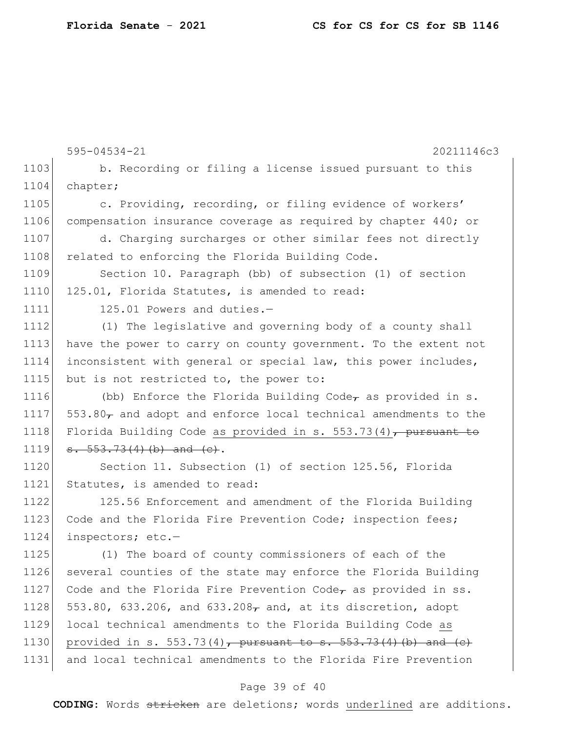595-04534-21 20211146c3 1103 b. Recording or filing a license issued pursuant to this 1104 chapter; 1105 c. Providing, recording, or filing evidence of workers' 1106 compensation insurance coverage as required by chapter 440; or 1107 d. Charging surcharges or other similar fees not directly 1108 related to enforcing the Florida Building Code. 1109 Section 10. Paragraph (bb) of subsection (1) of section 1110 125.01, Florida Statutes, is amended to read: 1111 125.01 Powers and duties.-1112 (1) The legislative and governing body of a county shall 1113 have the power to carry on county government. To the extent not 1114 inconsistent with general or special law, this power includes, 1115 but is not restricted to, the power to: 1116 (bb) Enforce the Florida Building Code, as provided in s. 1117  $553.80<sub>r</sub>$  and adopt and enforce local technical amendments to the 1118 Florida Building Code as provided in s. 553.73(4), pursuant to 1119  $s. 553.73(4)(b)$  and  $(c).$ 1120 Section 11. Subsection (1) of section 125.56, Florida 1121 Statutes, is amended to read: 1122 125.56 Enforcement and amendment of the Florida Building 1123 Code and the Florida Fire Prevention Code; inspection fees; 1124 inspectors; etc.— 1125 (1) The board of county commissioners of each of the 1126 several counties of the state may enforce the Florida Building 1127 Code and the Florida Fire Prevention Code $\tau$  as provided in ss. 1128  $553.80$ , 633.206, and 633.208, and, at its discretion, adopt 1129 local technical amendments to the Florida Building Code as 1130 provided in s. 553.73(4), pursuant to s. 553.73(4)(b) and  $(c)$ 1131 and local technical amendments to the Florida Fire Prevention

## Page 39 of 40